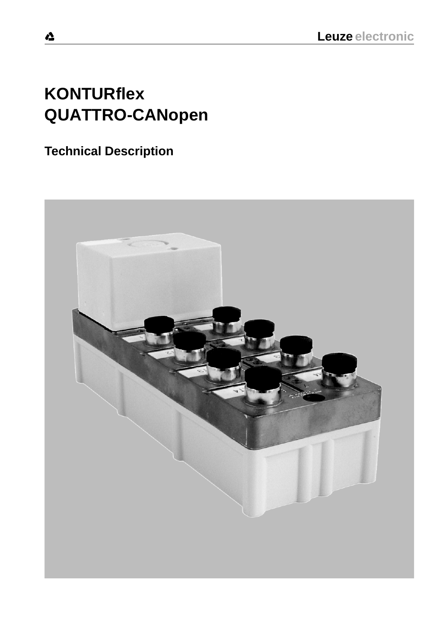# **KONTURflex QUATTRO-CANopen**

# **Technical Description**

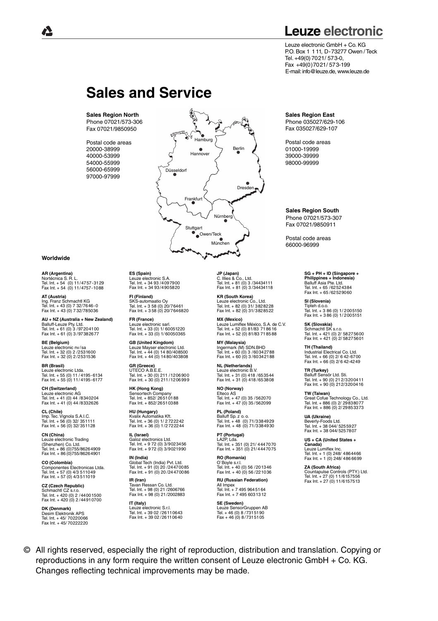# **Leuze electronic**

Leuze electronic GmbH + Co. KG P.O. Box 1 1 11, D-73277 Owen /Teck Tel. +49(0) 7021/ 573-0, Fax +49(0)7021/ 573-199 E-mail: info@leuze.de, www.leuze.de

# **Sales and Service**

**Sales Region North** Phone 07021/573-306 Fax 07021/9850950

Postal code areas 20000-38999 40000-53999 54000-55999 56000-65999 97000-97999



#### **Worldwide**

**AR (Argentina)**  $S$   $\sim$  R. L. Tel. Int. + 54 (0) 11/4757-3129 Fax Int. + 54 (0) 11/4757-1088

**AT (Austria)** Ing. Franz Schmachtl KG Tel. Int. + 43 (0) 7 32/7646-0 Fax Int. + 43 (0) 7 32/785036

**AU + NZ (Australia + New Zealand)** Balluff-Leuze Pty. Ltd. Tel. Int. + 61 (0) 3 /97204100 Fax Int. + 61 (0) 3 /97382677

**BE (Belgium)** Leuze electronic nv /sa Tel. Int. + 32 (0) 2 /2531600 Fax Int. + 32 (0) 2 /2531536

**BR (Brasil)** Leuze electronic Ltda. Tel. Int. + 55 (0) 11 / 4195-6134 Fax Int. + 55 (0) 11/ 4195-6177

**CH (Switzerland)** Leuze electronic AG Tel. Int. + 41 (0) 44 /8340204 Fax Int. + 41 (0) 44 /8332626

**CL (Chile)** Imp. Tec. Vignola S.A.I.C. Tel. Int. + 56 (0) 32/ 351111 Fax Int. + 56 (0) 32/ 351128

**CN (China)** Leuze electronic Trading<br>(Shenzhen) Co Ltd (Shenzhen) Co. Ltd. Tel. Int. + 86 (0)755/86264909 Fax Int. + 86 (0)755/86264901

**CO (Colombia)** Componentes Electronicas Ltda. Tel. Int. + 57 (0) 4/3 511049 Fax Int. + 57 (0) 4/3 511019

**CZ (Czech Republic)**<br>Schmachtl CZ s.r.o.<br>Tel. Int. + 420 (0) 2 /44001500 Fax Int. + 420 (0) 2 /44910700

**DK (Denmark)** Desim Elektronik APS Tel. Int. + 45/ 70220066 Fax Int. + 45/ 70222220 **ES (Spain)** Leuze electronic S.A. Tel. Int. + 34 93 /4097900 Fax Int. + 34 93 /4905820

**FI (Finland)** SKS-automaatio Oy Tel. Int. + 3 58 (0) 20/76461 Fax Int. + 3 58 (0) 20/7646820

**FR (France)** Leuze electronic sarl. Tel. Int. + 33 (0) 1/ 60051220 Fax Int. + 33 (0) 1/ 60050365

**GB (United Kingdom)** Leuze Mayser electronic Ltd. Tel. Int. + 44 (0) 14 80/408500 Fax Int. + 44 (0) 14 80/403808

**GR (Greece)** UTECO A.B.E.E. Tel. Int. + 30 (0) 211 /1206900 Fax Int. + 30 (0) 211 /1206999

**HK (Hong Kong)** Sensortech Company Tel. Int. + 852/ 26510188 Fax Int. + 852/ 26510388

**HU (Hungary)** Kvalix Automatika Kft. Tel. Int. + 36 (0) 1/ 2 722242 Fax Int. + 36 (0) 1/2 722244

**IL (Israel)** Galoz electronics Ltd. Tel. Int. + 9 72 (0) 3/9023456 Fax Int. + 9 72 (0) 3/9021990

**IN (India)** Global Tech (India) Pvt. Ltd. Tel. Int. + 91 (0) 20 /24470085 Fax Int. + 91 (0) 20 /24 470086

**IR (Iran)** Tavan Ressan Co. Ltd. Tel. Int. + 98 (0) 21 /2606766 Fax Int. + 98 (0) 21/2002883

**IT (Italy)** Leuze electronic S.r.l. Tel. Int. + 39 02 /26110643 Fax Int. + 39 02 /26110640 **JP (Japan)** C. Illies & Co., Ltd. Tel. Int. + 81 (0) 3 /34434111 Fax Int. + 81 (0) 3 /34434118

**KR (South Korea)** Leuze electronic Co., Ltd. Tel. Int. + 82 (0) 31/ 3828228 Fax Int. + 82 (0) 31/3828522

**MX (Mexico)** Leuze Lumiflex México, S.A. de C.V. Tel. Int. + 52 (0) 81/83 71 86 16 Fax Int. + 52 (0) 81/83 71 85 88

**MY (Malaysia)** Ingermark (M) SDN.BHD Tel. Int. + 60 (0) 3 /60342788 Fax Int. + 60 (0) 3 /60342188

**NL (Netherlands)** Leuze electronic B.V. Tel. Int. + 31 (0) 418 /653544 Fax Int. + 31 (0) 418 /653808

**NO (Norway)** Elteco AS Tel. Int. + 47 (0) 35 /562070 Fax Int. + 47 (0) 35 /562099

**PL (Poland)** Balluff Sp. z o. o. Tel. Int. + 48 (0) 71/3384929 Fax Int. + 48 (0) 71/3384930

**PT (Portugal)** LA2P, Lda. Tel. Int. + 351 (0) 21/ 4447070 Fax Int. + 351 (0) 21/ 4447075

**RO (Romania)** O`Boyle s.r.l. Tel. Int. + 40 (0) 56 /201346 Fax Int. + 40 (0) 56 /221036

**RU (Russian Federation)** All Impex Tel. Int. + 7 495 9645164 Fax Int. + 7 495 6031312

**SE (Sweden)** Leuze SensorGruppen AB Tel. + 46 (0) 8 /7315190 Fax + 46 (0) 8 /7315105 **Sales Region East**

Phone 035027/629-106 Fax 035027/629-107

Postal code areas 01000-19999 39000-39999 98000-99999

**Sales Region South** Phone 07021/573-307 Fax 07021/9850911

Postal code areas 66000-96999

> **SG + PH + ID (Singapore +**  Balluff Asia Pte. Ltd. Tel. Int. + 65 /62524384 Fax Int. + 65 /62529060 **Philippines + Indonesia)**

**SI (Slovenia)** Tipteh d.o.o. Tel. Int. + 3 86 (0) 1/ 2005150 Fax Int. + 3 86 (0) 1/ 2005151

**SK (Slovakia)** Schmachtl SK s.r.o. Tel. Int. + 421 (0) 2/ 58275600 Fax Int. + 421 (0) 2/ 58275601

**TH (Thailand)** Industrial Electrical Co. Ltd. Tel. Int. + 66 (0) 2/ 6 42-6700 Fax Int. + 66 (0) 2/ 6 42-4249

**TR (Turkey)** Balluff Sensör Ltd. Sti. Tel. Int. + 90 (0) 21 2/3200411 Fax Int. + 90 (0) 212/3200416

**TW (Taiwan)** Great Cofue Technology Co., Ltd. Tel. Int. + 886 (0) 2/ 29838077 Fax Int. + 886 (0) 2/ 29853373

**UA (Ukraine)** Beverly-Foods Ltd. Tel. Int. + 38 044/ 5255927 Fax Int. + 38 044/5257807

**US + CA (United States + Canada)**<br>Leuze Lumiflex Inc.<br>Tel. Int. + 1 (0) 248/ 486 44 66<br>Fax Int. + 1 (0) 248/ 486 6699

**ZA (South Africa)** Countapulse Controls (PTY.) Ltd. Tel. Int. + 27 (0) 11/6157556 Fax Int. + 27 (0) 11/6157513

© All rights reserved, especially the right of reproduction, distribution and translation. Copying or reproductions in any form require the written consent of Leuze electronic GmbH + Co. KG. Changes reflecting technical improvements may be made.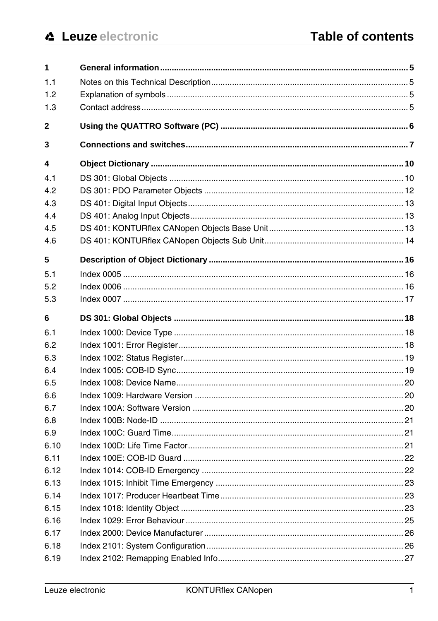| 1            |  |
|--------------|--|
| 1.1          |  |
| 1.2          |  |
| 1.3          |  |
| $\mathbf{2}$ |  |
| 3            |  |
| 4            |  |
| 4.1          |  |
| 4.2          |  |
| 4.3          |  |
| 4.4          |  |
| 4.5          |  |
| 4.6          |  |
| 5            |  |
| 5.1          |  |
| 5.2          |  |
| 5.3          |  |
| 6            |  |
|              |  |
| 6.1          |  |
| 6.2          |  |
| 6.3          |  |
| 6.4          |  |
| 6.5          |  |
| 6.6          |  |
| 6.7          |  |
| 6.8          |  |
| 6.9          |  |
| 6.10         |  |
| 6.11         |  |
| 6.12         |  |
| 6.13         |  |
| 6.14         |  |
| 6.15         |  |
| 6.16         |  |
| 6.17         |  |
| 6.18         |  |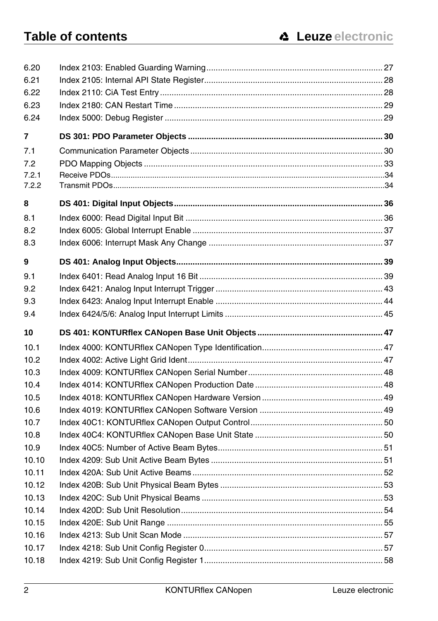| 6.21           |  |
|----------------|--|
| 6.22           |  |
| 6.23           |  |
| 6.24           |  |
| 7              |  |
| 7.1            |  |
| 7.2            |  |
| 7.2.1          |  |
| 7.2.2          |  |
| 8              |  |
| 8.1            |  |
| 8.2            |  |
| 8.3            |  |
| 9              |  |
| 9.1            |  |
| 9.2            |  |
| 9.3            |  |
| 9.4            |  |
| 10             |  |
|                |  |
| 10.1           |  |
| 10.2           |  |
| 10.3           |  |
| 10.4           |  |
| 10.5           |  |
| 10.6           |  |
| 10.7           |  |
| 10.8           |  |
| 10.9           |  |
| 10.10          |  |
| 10.11          |  |
| 10.12          |  |
| 10.13          |  |
| 10.14          |  |
| 10.15          |  |
| 10.16          |  |
| 10.17<br>10.18 |  |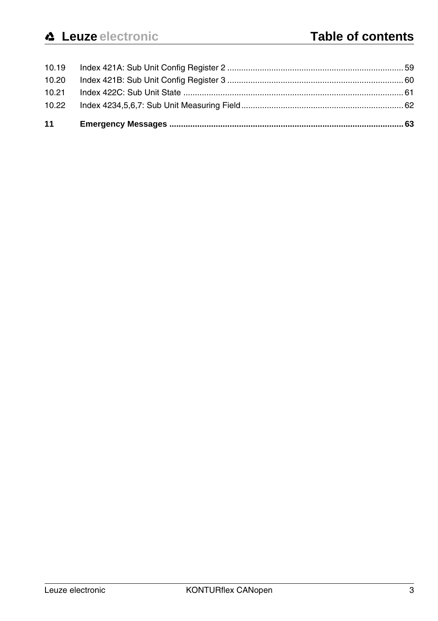| 11    |  |
|-------|--|
| 10.22 |  |
| 10.21 |  |
| 10.20 |  |
|       |  |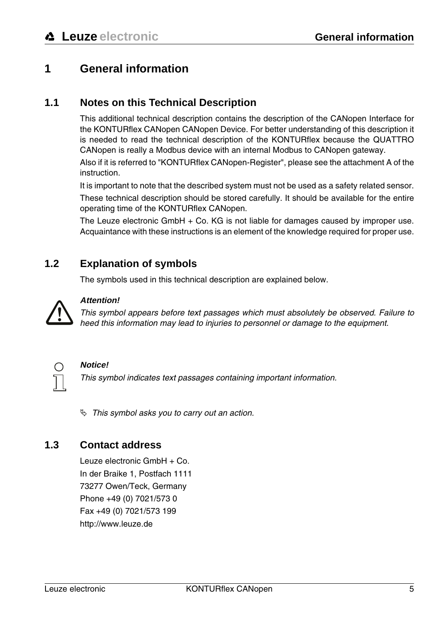# <span id="page-6-0"></span>**1 General information**

#### <span id="page-6-1"></span>**1.1 Notes on this Technical Description**

This additional technical description contains the description of the CANopen Interface for the KONTURflex CANopen CANopen Device. For better understanding of this description it is needed to read the technical description of the KONTURflex because the QUATTRO CANopen is really a Modbus device with an internal Modbus to CANopen gateway.

Also if it is referred to "KONTURflex CANopen-Register", please see the attachment A of the **instruction** 

It is important to note that the described system must not be used as a safety related sensor.

These technical description should be stored carefully. It should be available for the entire operating time of the KONTURflex CANopen.

The Leuze electronic GmbH + Co. KG is not liable for damages caused by improper use. Acquaintance with these instructions is an element of the knowledge required for proper use.

#### <span id="page-6-2"></span>**1.2 Explanation of symbols**

The symbols used in this technical description are explained below.



#### **Attention!**

This symbol appears before text passages which must absolutely be observed. Failure to heed this information may lead to injuries to personnel or damage to the equipment.



#### **Notice!**

This symbol indicates text passages containing important information.

 $\%$  This symbol asks you to carry out an action.

#### <span id="page-6-3"></span>**1.3 Contact address**

Leuze electronic GmbH + Co. In der Braike 1, Postfach 1111 73277 Owen/Teck, Germany Phone +49 (0) 7021/573 0 Fax +49 (0) 7021/573 199 http://www.leuze.de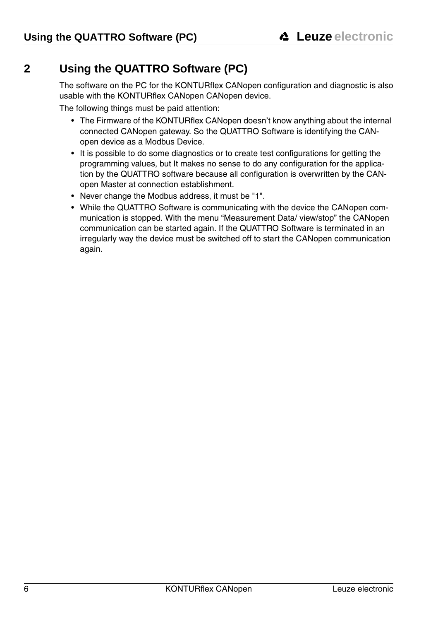# <span id="page-7-0"></span>**2 Using the QUATTRO Software (PC)**

The software on the PC for the KONTURflex CANopen configuration and diagnostic is also usable with the KONTURflex CANopen CANopen device.

The following things must be paid attention:

- The Firmware of the KONTURflex CANopen doesn't know anything about the internal connected CANopen gateway. So the QUATTRO Software is identifying the CANopen device as a Modbus Device.
- It is possible to do some diagnostics or to create test configurations for getting the programming values, but It makes no sense to do any configuration for the application by the QUATTRO software because all configuration is overwritten by the CANopen Master at connection establishment.
- Never change the Modbus address, it must be "1".
- While the QUATTRO Software is communicating with the device the CANopen communication is stopped. With the menu "Measurement Data/ view/stop" the CANopen communication can be started again. If the QUATTRO Software is terminated in an irregularly way the device must be switched off to start the CANopen communication again.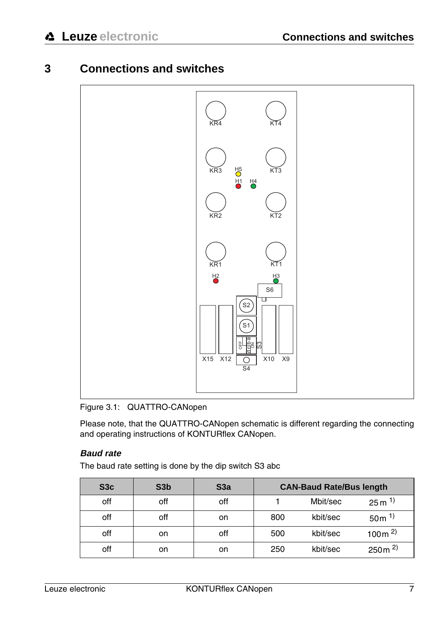# <span id="page-8-0"></span>**3 Connections and switches**



<span id="page-8-1"></span>Figure 3.1: QUATTRO-CANopen

Please note, that the QUATTRO-CANopen schematic is different regarding the connecting and operating instructions of KONTURflex CANopen.

#### **Baud rate**

The baud rate setting is done by the dip switch S3 abc

| S <sub>3</sub> c | S <sub>3</sub> b | S3a | <b>CAN-Baud Rate/Bus length</b> |          |                    |
|------------------|------------------|-----|---------------------------------|----------|--------------------|
| off              | off              | off |                                 | Mbit/sec | $25 \text{ m}^{1}$ |
| off              | off              | on  | 800                             | kbit/sec | $50m^{1}$          |
| off              | on               | off | 500                             | kbit/sec | 100 $m2$           |
| off              | on               | on  | 250                             | kbit/sec | $250m^{2}$         |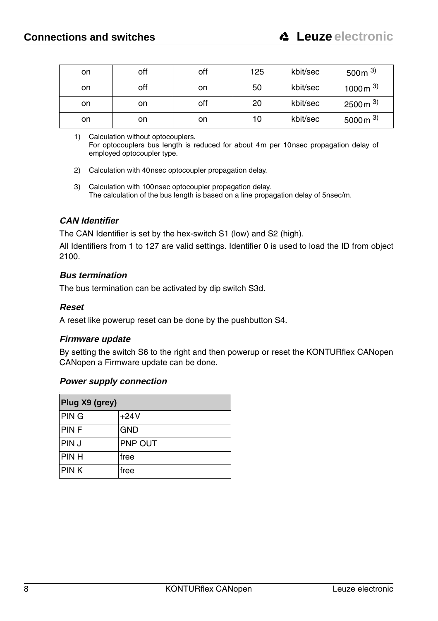| on | off | off | 125 | kbit/sec | 500 $m3$  |
|----|-----|-----|-----|----------|-----------|
| on | off | on  | 50  | kbit/sec | 1000 $m3$ |
| on | on  | off | 20  | kbit/sec | 2500 $m3$ |
| on | on  | on  | 10  | kbit/sec | 5000 $m3$ |

<sup>1)</sup> Calculation without optocouplers. For optocouplers bus length is reduced for about 4m per 10nsec propagation delay of employed optocoupler type.

- 2) Calculation with 40nsec optocoupler propagation delay.
- 3) Calculation with 100nsec optocoupler propagation delay. The calculation of the bus length is based on a line propagation delay of 5nsec/m.

#### **CAN Identifier**

The CAN Identifier is set by the hex-switch S1 (low) and S2 (high).

All Identifiers from 1 to 127 are valid settings. Identifier 0 is used to load the ID from object 2100.

#### **Bus termination**

The bus termination can be activated by dip switch S3d.

#### **Reset**

A reset like powerup reset can be done by the pushbutton S4.

#### **Firmware update**

By setting the switch S6 to the right and then powerup or reset the KONTURflex CANopen CANopen a Firmware update can be done.

#### **Power supply connection**

| Plug X9 (grey) |            |  |  |
|----------------|------------|--|--|
| <b>PING</b>    | $+24V$     |  |  |
| <b>PINF</b>    | <b>GND</b> |  |  |
| <b>PINJ</b>    | PNP OUT    |  |  |
| <b>PINH</b>    | free       |  |  |
| <b>PINK</b>    | free       |  |  |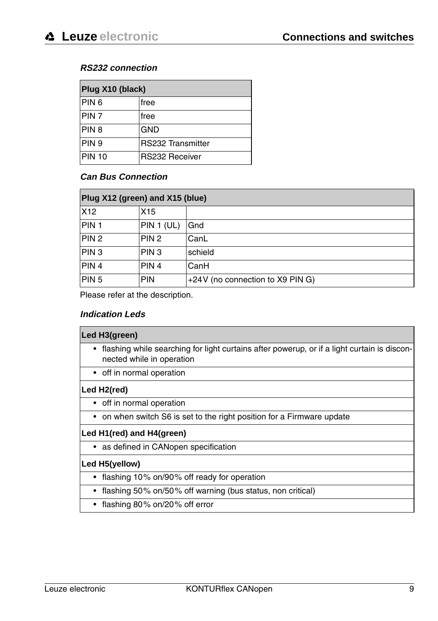#### **RS232 connection**

| Plug X10 (black)  |                          |  |  |
|-------------------|--------------------------|--|--|
| PIN <sub>6</sub>  | free                     |  |  |
| PIN <sub>7</sub>  | free                     |  |  |
| PIN <sub>8</sub>  | <b>GND</b>               |  |  |
| PIN <sub>9</sub>  | <b>RS232 Transmitter</b> |  |  |
| PIN <sub>10</sub> | RS232 Receiver           |  |  |

#### **Can Bus Connection**

| Plug X12 (green) and X15 (blue) |                  |                                  |  |
|---------------------------------|------------------|----------------------------------|--|
| X <sub>12</sub>                 | X15              |                                  |  |
| PIN <sub>1</sub>                | PIN 1 (UL)       | Gnd                              |  |
| PIN <sub>2</sub>                | PIN <sub>2</sub> | CanL                             |  |
| PIN <sub>3</sub>                | PIN <sub>3</sub> | schield                          |  |
| PIN <sub>4</sub>                | PIN <sub>4</sub> | CanH                             |  |
| PIN <sub>5</sub>                | <b>PIN</b>       | +24V (no connection to X9 PIN G) |  |

Please refer at the description.

#### **Indication Leds**

| Led H3(green)                                                                                                              |
|----------------------------------------------------------------------------------------------------------------------------|
| • flashing while searching for light curtains after powerup, or if a light curtain is discon-<br>nected while in operation |
| • off in normal operation                                                                                                  |
| Led H2(red)                                                                                                                |
| • off in normal operation                                                                                                  |
| • on when switch S6 is set to the right position for a Firmware update                                                     |
| Led H1(red) and H4(green)                                                                                                  |
| • as defined in CANopen specification                                                                                      |
| Led H5(yellow)                                                                                                             |
| • flashing 10% on/90% off ready for operation                                                                              |
| flashing 50% on/50% off warning (bus status, non critical)                                                                 |
| $\sim$ $\sim$ $\sim$ $\sim$ $\sim$ $\sim$ $\sim$ $\sim$                                                                    |

• flashing 80% on/20% off error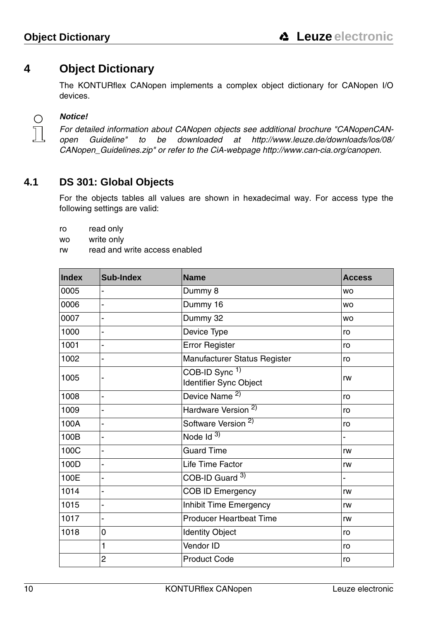# <span id="page-11-0"></span>**4 Object Dictionary**

The KONTURflex CANopen implements a complex object dictionary for CANopen I/O devices.



#### **Notice!**

For detailed information about CANopen objects see additional brochure "CANopenCANopen Guideline" to be downloaded at http://www.leuze.de/downloads/los/08/ CANopen\_Guidelines.zip" or refer to the CiA-webpage http://www.can-cia.org/canopen.

#### <span id="page-11-1"></span>**4.1 DS 301: Global Objects**

For the objects tables all values are shown in hexadecimal way. For access type the following settings are valid:

ro read only

- wo write only
- rw read and write access enabled

| Index | Sub-Index      | <b>Name</b>                                         | <b>Access</b> |
|-------|----------------|-----------------------------------------------------|---------------|
| 0005  |                | Dummy 8                                             | <b>WO</b>     |
| 0006  | L,             | Dummy 16                                            | <b>WO</b>     |
| 0007  | ä,             | Dummy 32                                            | <b>WO</b>     |
| 1000  |                | Device Type                                         | ro            |
| 1001  |                | Error Register                                      | ro            |
| 1002  | -              | Manufacturer Status Register                        | ro            |
| 1005  |                | COB-ID Sync <sup>1)</sup><br>Identifier Sync Object | rw            |
| 1008  |                | Device Name <sup>2)</sup>                           | ro            |
| 1009  |                | Hardware Version <sup>2)</sup>                      | ro            |
| 100A  | L,             | Software Version <sup>2)</sup>                      | ro            |
| 100B  | -              | Node $Id$ <sup>3)</sup>                             |               |
| 100C  | $\overline{a}$ | <b>Guard Time</b>                                   | rw            |
| 100D  | $\overline{a}$ | Life Time Factor                                    | rw            |
| 100E  | L,             | COB-ID Guard 3)                                     |               |
| 1014  |                | COB ID Emergency                                    | rw            |
| 1015  | -              | Inhibit Time Emergency                              | rw            |
| 1017  |                | <b>Producer Heartbeat Time</b>                      | rw            |
| 1018  | 0              | <b>Identity Object</b>                              | ro            |
|       | 1              | Vendor ID                                           | ro            |
|       | 2              | <b>Product Code</b>                                 | ro            |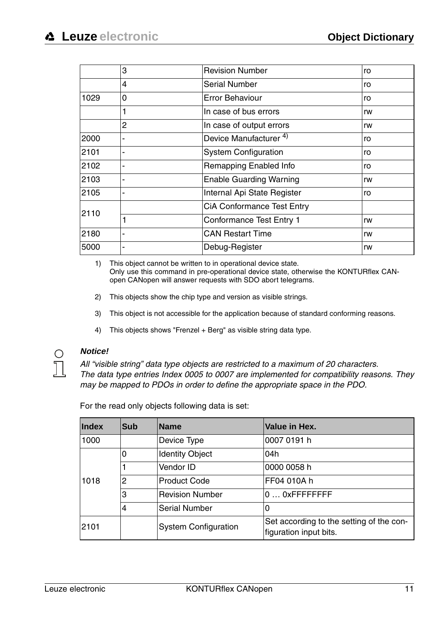|      | 3 | <b>Revision Number</b>            | ro |
|------|---|-----------------------------------|----|
|      | 4 | Serial Number                     | ro |
| 1029 | 0 | Error Behaviour                   | ro |
|      | 1 | In case of bus errors             | rw |
|      | 2 | In case of output errors          | rw |
| 2000 |   | Device Manufacturer <sup>4)</sup> | ro |
| 2101 |   | <b>System Configuration</b>       | ro |
| 2102 |   | Remapping Enabled Info            | ro |
| 2103 |   | <b>Enable Guarding Warning</b>    | rw |
| 2105 |   | Internal Api State Register       | ro |
| 2110 |   | CiA Conformance Test Entry        |    |
|      |   | Conformance Test Entry 1          | rw |
| 2180 |   | <b>CAN Restart Time</b>           | rw |
| 5000 |   | Debug-Register                    | rw |

1) This object cannot be written to in operational device state. Only use this command in pre-operational device state, otherwise the KONTURflex CANopen CANopen will answer requests with SDO abort telegrams.

- 2) This objects show the chip type and version as visible strings.
- 3) This object is not accessible for the application because of standard conforming reasons.
- 4) This objects shows "Frenzel + Berg" as visible string data type.

#### **Notice!**

All "visible string" data type objects are restricted to a maximum of 20 characters. The data type entries Index 0005 to 0007 are implemented for compatibility reasons. They may be mapped to PDOs in order to define the appropriate space in the PDO.

| <b>Index</b> | Sub            | <b>Name</b>                 | Value in Hex.                                                      |
|--------------|----------------|-----------------------------|--------------------------------------------------------------------|
| 1000         |                | Device Type                 | 0007 0191 h                                                        |
| 1018         | 0              | <b>Identity Object</b>      | 04h                                                                |
|              |                | Vendor ID                   | 0000 0058 h                                                        |
|              | $\overline{2}$ | Product Code                | FF04 010A h                                                        |
|              | 3              | Revision Number             | $0 \ldots 0$ xFFFFFFFFF                                            |
|              | 4              | <b>Serial Number</b>        | 0                                                                  |
| 2101         |                | <b>System Configuration</b> | Set according to the setting of the con-<br>figuration input bits. |

For the read only objects following data is set: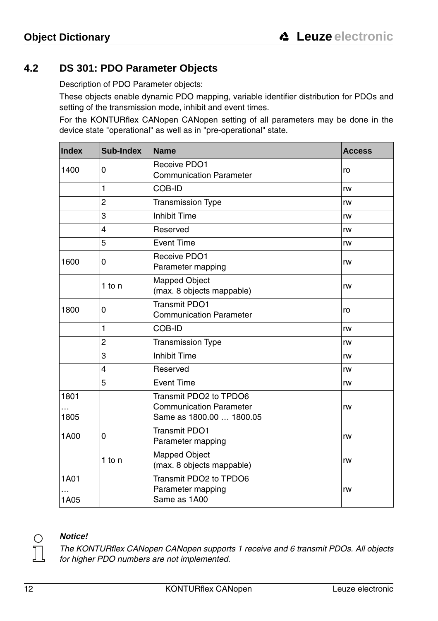# <span id="page-13-0"></span>**4.2 DS 301: PDO Parameter Objects**

Description of PDO Parameter objects:

These objects enable dynamic PDO mapping, variable identifier distribution for PDOs and setting of the transmission mode, inhibit and event times.

For the KONTURflex CANopen CANopen setting of all parameters may be done in the device state "operational" as well as in "pre-operational" state.

| Index        | Sub-Index      | <b>Name</b>                                                                          | <b>Access</b> |
|--------------|----------------|--------------------------------------------------------------------------------------|---------------|
| 1400         | 0              | Receive PDO1<br><b>Communication Parameter</b>                                       | ro            |
|              | 1              | COB-ID                                                                               | rw            |
|              | $\overline{2}$ | <b>Transmission Type</b>                                                             | rw            |
|              | 3              | <b>Inhibit Time</b>                                                                  | rw            |
|              | 4              | Reserved                                                                             | rw            |
|              | 5              | <b>Event Time</b>                                                                    | rw            |
| 1600         | 0              | Receive PDO1<br>Parameter mapping                                                    | rw            |
|              | $1$ to n       | <b>Mapped Object</b><br>(max. 8 objects mappable)                                    | rw            |
| 1800         | 0              | Transmit PDO1<br><b>Communication Parameter</b>                                      | ro            |
|              | 1              | COB-ID                                                                               | rw            |
|              | $\overline{2}$ | <b>Transmission Type</b>                                                             | rw            |
|              | 3              | <b>Inhibit Time</b>                                                                  | rw            |
|              | 4              | Reserved                                                                             | rw            |
|              | 5              | <b>Event Time</b>                                                                    | rw            |
| 1801<br>1805 |                | Transmit PDO2 to TPDO6<br><b>Communication Parameter</b><br>Same as 1800.00  1800.05 | rw            |
| 1A00         | 0              | <b>Transmit PDO1</b><br>Parameter mapping                                            | rw            |
|              | $1$ to n       | Mapped Object<br>(max. 8 objects mappable)                                           | rw            |
| 1A01<br>1A05 |                | Transmit PDO2 to TPDO6<br>Parameter mapping<br>rw<br>Same as 1A00                    |               |



#### **Notice!**

The KONTURflex CANopen CANopen supports 1 receive and 6 transmit PDOs. All objects for higher PDO numbers are not implemented.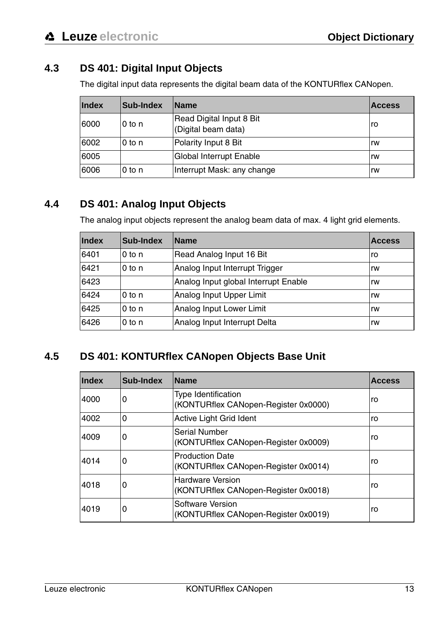# <span id="page-14-0"></span>**4.3 DS 401: Digital Input Objects**

The digital input data represents the digital beam data of the KONTURflex CANopen.

| Index | Sub-Index | <b>Name</b>                                     | <b>Access</b> |
|-------|-----------|-------------------------------------------------|---------------|
| 6000  | l0 to n   | Read Digital Input 8 Bit<br>(Digital beam data) | ro            |
| 6002  | $0$ to n  | Polarity Input 8 Bit                            | rw            |
| 6005  |           | Global Interrupt Enable                         | rw            |
| 6006  | $0$ to n  | Interrupt Mask: any change                      | rw            |

#### <span id="page-14-1"></span>**4.4 DS 401: Analog Input Objects**

The analog input objects represent the analog beam data of max. 4 light grid elements.

| Index | Sub-Index         | <b>Name</b>                          | <b>Access</b> |
|-------|-------------------|--------------------------------------|---------------|
| 6401  | 0 <sub>to n</sub> | Read Analog Input 16 Bit             | ro            |
| 6421  | $0$ to n          | Analog Input Interrupt Trigger       | rw            |
| 6423  |                   | Analog Input global Interrupt Enable | rw            |
| 6424  | 0 <sub>to n</sub> | Analog Input Upper Limit             | rw            |
| 6425  | 0 <sub>to n</sub> | Analog Input Lower Limit             | rw            |
| 6426  | 0 <sub>to n</sub> | Analog Input Interrupt Delta         | rw            |

#### <span id="page-14-2"></span>**4.5 DS 401: KONTURflex CANopen Objects Base Unit**

| Index | Sub-Index | <b>Name</b>                                                     | Access |
|-------|-----------|-----------------------------------------------------------------|--------|
| 4000  | 0         | Type Identification<br>(KONTURflex CANopen-Register 0x0000)     | ro     |
| 4002  | 0         | Active Light Grid Ident                                         | ro     |
| 4009  | 0         | Serial Number<br>(KONTURflex CANopen-Register 0x0009)           | ro     |
| 4014  | 0         | <b>Production Date</b><br>(KONTURflex CANopen-Register 0x0014)  | ro     |
| 4018  | 0         | <b>Hardware Version</b><br>(KONTURflex CANopen-Register 0x0018) | ro     |
| 4019  | 0         | Software Version<br>(KONTURflex CANopen-Register 0x0019)        | ro     |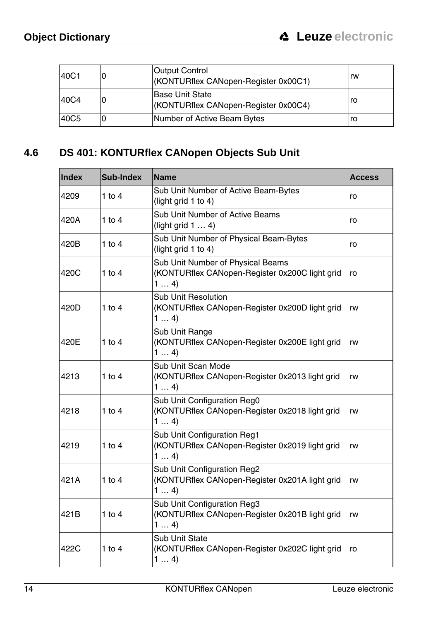| 40C1             | υ | <b>Output Control</b><br>(KONTURflex CANopen-Register 0x00C1) | rw |
|------------------|---|---------------------------------------------------------------|----|
| 40C4             | 0 | Base Unit State<br>(KONTURflex CANopen-Register 0x00C4)       | ro |
| 40C <sub>5</sub> |   | Number of Active Beam Bytes                                   | ro |

# <span id="page-15-0"></span>**4.6 DS 401: KONTURflex CANopen Objects Sub Unit**

| Index | Sub-Index  | <b>Name</b>                                                                                | <b>Access</b> |
|-------|------------|--------------------------------------------------------------------------------------------|---------------|
| 4209  | $1$ to $4$ | Sub Unit Number of Active Beam-Bytes<br>(light grid $1$ to $4$ )                           | ro            |
| 420A  | $1$ to $4$ | Sub Unit Number of Active Beams<br>(light grid $1 \ldots 4$ )                              | ro            |
| 420B  | 1 to $4$   | Sub Unit Number of Physical Beam-Bytes<br>(light grid $1$ to $4$ )                         | ro            |
| 420C  | 1 to $4$   | Sub Unit Number of Physical Beams<br>(KONTURflex CANopen-Register 0x200C light grid<br>14  | ro            |
| 420D  | $1$ to $4$ | Sub Unit Resolution<br>(KONTURflex CANopen-Register 0x200D light grid<br>14                | rw            |
| 420E  | 1 to $4$   | Sub Unit Range<br>(KONTURflex CANopen-Register 0x200E light grid<br>14                     | rw            |
| 4213  | 1 to $4$   | Sub Unit Scan Mode<br>(KONTURflex CANopen-Register 0x2013 light grid<br>14                 | rw            |
| 4218  | $1$ to $4$ | Sub Unit Configuration Reg0<br>(KONTURflex CANopen-Register 0x2018 light grid<br>14        | rw            |
| 4219  | 1 to $4$   | Sub Unit Configuration Reg1<br>(KONTURflex CANopen-Register 0x2019 light grid<br>14        | rw            |
| 421A  | 1 to $4$   | Sub Unit Configuration Reg2<br>(KONTURflex CANopen-Register 0x201A light grid<br>14        | rw            |
| 421B  | $1$ to $4$ | Sub Unit Configuration Reg3<br>(KONTURflex CANopen-Register 0x201B light grid<br>rw<br>14) |               |
| 422C  | 1 to $4$   | <b>Sub Unit State</b><br>(KONTURflex CANopen-Register 0x202C light grid<br>14              | ro            |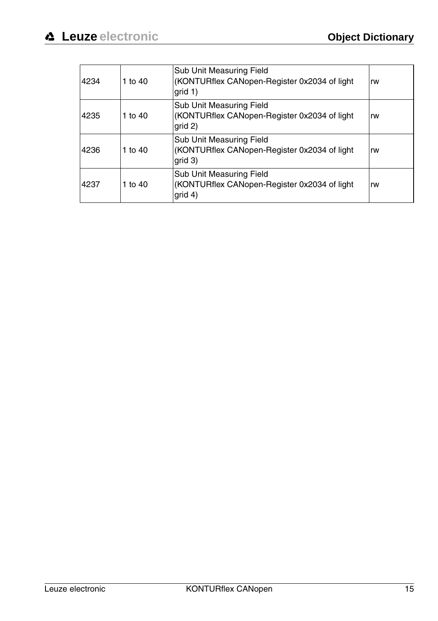| 4234 | 1 to 40 | Sub Unit Measuring Field<br>(KONTURflex CANopen-Register 0x2034 of light<br>qrid 1)  | rw |
|------|---------|--------------------------------------------------------------------------------------|----|
| 4235 | 1 to 40 | Sub Unit Measuring Field<br>(KONTURflex CANopen-Register 0x2034 of light<br>qrid 2)  | rw |
| 4236 | 1 to 40 | Sub Unit Measuring Field<br>(KONTURflex CANopen-Register 0x2034 of light)<br>qrid 3) | rw |
| 4237 | 1 to 40 | Sub Unit Measuring Field<br>(KONTURflex CANopen-Register 0x2034 of light)<br>grid 4) | rw |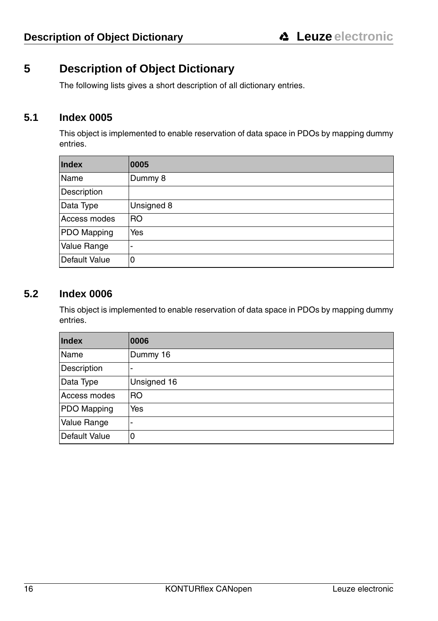# <span id="page-17-0"></span>**5 Description of Object Dictionary**

The following lists gives a short description of all dictionary entries.

#### <span id="page-17-1"></span>**5.1 Index 0005**

This object is implemented to enable reservation of data space in PDOs by mapping dummy entries.

| Index         | 0005           |
|---------------|----------------|
| Name          | Dummy 8        |
| Description   |                |
| Data Type     | Unsigned 8     |
| Access modes  | R <sub>O</sub> |
| PDO Mapping   | Yes            |
| Value Range   | -              |
| Default Value | 0              |

#### <span id="page-17-2"></span>**5.2 Index 0006**

This object is implemented to enable reservation of data space in PDOs by mapping dummy entries.

| Index         | 0006        |
|---------------|-------------|
| Name          | Dummy 16    |
| Description   |             |
| Data Type     | Unsigned 16 |
| Access modes  | RO          |
| PDO Mapping   | Yes         |
| Value Range   | -           |
| Default Value | 0           |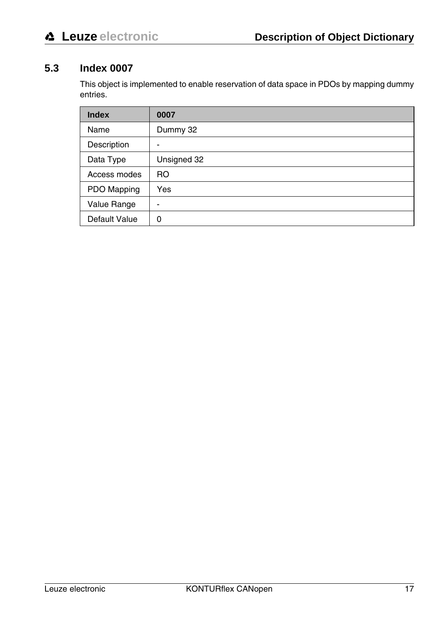# <span id="page-18-0"></span>**5.3 Index 0007**

This object is implemented to enable reservation of data space in PDOs by mapping dummy entries.

| <b>Index</b>  | 0007           |
|---------------|----------------|
| Name          | Dummy 32       |
| Description   | -              |
| Data Type     | Unsigned 32    |
| Access modes  | R <sub>O</sub> |
| PDO Mapping   | Yes            |
| Value Range   | -              |
| Default Value | 0              |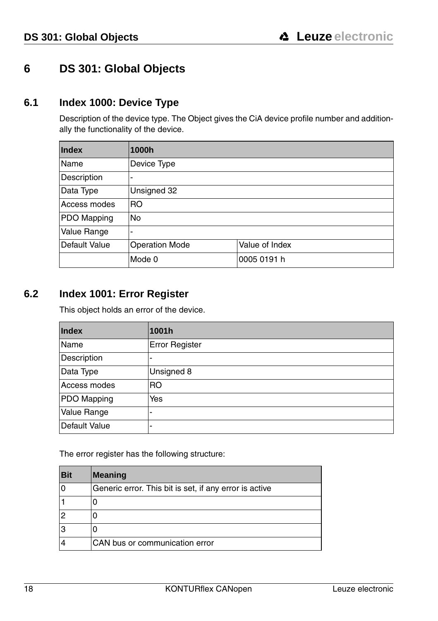# <span id="page-19-0"></span>**6 DS 301: Global Objects**

#### <span id="page-19-1"></span>**6.1 Index 1000: Device Type**

Description of the device type. The Object gives the CiA device profile number and additionally the functionality of the device.

| <b>Index</b>  | 1000h                    |                |  |
|---------------|--------------------------|----------------|--|
| Name          | Device Type              |                |  |
| Description   |                          |                |  |
| Data Type     | Unsigned 32              |                |  |
| Access modes  | <b>RO</b>                |                |  |
| PDO Mapping   | No                       |                |  |
| Value Range   | $\overline{\phantom{0}}$ |                |  |
| Default Value | <b>Operation Mode</b>    | Value of Index |  |
|               | Mode 0                   | 0005 0191 h    |  |

#### <span id="page-19-2"></span>**6.2 Index 1001: Error Register**

This object holds an error of the device.

| Index         | 1001h          |
|---------------|----------------|
| Name          | Error Register |
| Description   | -              |
| Data Type     | Unsigned 8     |
| Access modes  | R <sub>O</sub> |
| PDO Mapping   | Yes            |
| Value Range   | -              |
| Default Value | -              |

The error register has the following structure:

| <b>Bit</b> | <b>Meaning</b>                                         |
|------------|--------------------------------------------------------|
| $\Omega$   | Generic error. This bit is set, if any error is active |
|            |                                                        |
| 2          |                                                        |
| 3          |                                                        |
|            | CAN bus or communication error                         |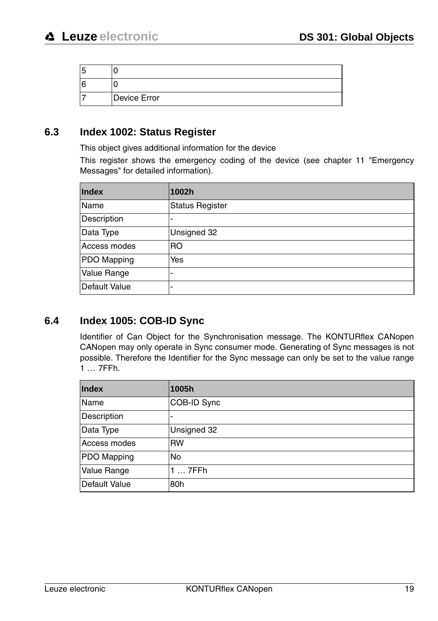| 5 |              |
|---|--------------|
| 6 |              |
|   | Device Error |

#### <span id="page-20-0"></span>**6.3 Index 1002: Status Register**

This object gives additional information for the device

This register shows the emergency coding of the device ([see chapter 11 "Emergency](#page-64-0) [Messages"](#page-64-0) for detailed information).

| Index         | 1002h                    |
|---------------|--------------------------|
| Name          | <b>Status Register</b>   |
| Description   | $\blacksquare$           |
| Data Type     | Unsigned 32              |
| Access modes  | <b>RO</b>                |
| PDO Mapping   | Yes                      |
| Value Range   | -                        |
| Default Value | $\overline{\phantom{a}}$ |

#### <span id="page-20-1"></span>**6.4 Index 1005: COB-ID Sync**

Identifier of Can Object for the Synchronisation message. The KONTURflex CANopen CANopen may only operate in Sync consumer mode. Generating of Sync messages is not possible. Therefore the Identifier for the Sync message can only be set to the value range 1 … 7FFh.

| Index              | 1005h       |
|--------------------|-------------|
| Name               | COB-ID Sync |
| Description        | -           |
| Data Type          | Unsigned 32 |
| Access modes       | <b>RW</b>   |
| PDO Mapping        | No          |
| <b>Value Range</b> | $17$ FFh    |
| Default Value      | 80h         |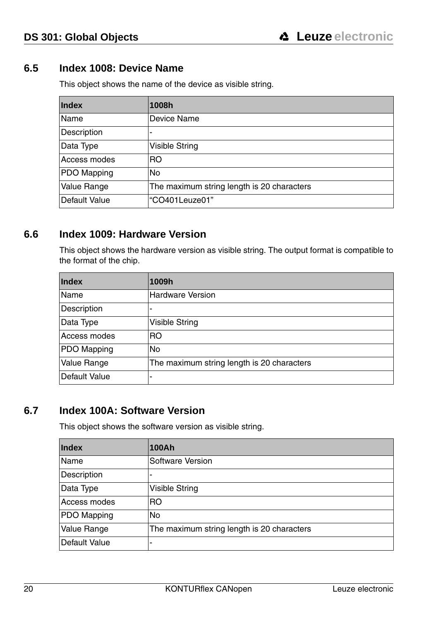#### <span id="page-21-0"></span>**6.5 Index 1008: Device Name**

This object shows the name of the device as visible string.

| <b>Index</b>       | 1008h                                      |
|--------------------|--------------------------------------------|
| Name               | Device Name                                |
| Description        | -                                          |
| Data Type          | <b>Visible String</b>                      |
| Access modes       | RO.                                        |
| PDO Mapping        | No                                         |
| <b>Value Range</b> | The maximum string length is 20 characters |
| Default Value      | "CO401Leuze01"                             |

#### <span id="page-21-1"></span>**6.6 Index 1009: Hardware Version**

This object shows the hardware version as visible string. The output format is compatible to the format of the chip.

| <b>Index</b>  | 1009h                                      |
|---------------|--------------------------------------------|
| Name          | <b>Hardware Version</b>                    |
| Description   | -                                          |
| Data Type     | Visible String                             |
| Access modes  | R <sub>O</sub>                             |
| PDO Mapping   | <b>No</b>                                  |
| Value Range   | The maximum string length is 20 characters |
| Default Value | -                                          |

## <span id="page-21-2"></span>**6.7 Index 100A: Software Version**

This object shows the software version as visible string.

| <b>Index</b>  | 100Ah                                      |
|---------------|--------------------------------------------|
| Name          | Software Version                           |
| Description   | ٠                                          |
| Data Type     | <b>Visible String</b>                      |
| Access modes  | R <sub>O</sub>                             |
| PDO Mapping   | <b>No</b>                                  |
| Value Range   | The maximum string length is 20 characters |
| Default Value | -                                          |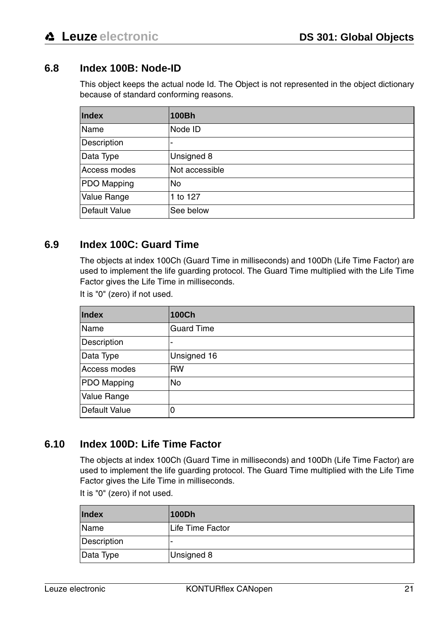# <span id="page-22-0"></span>**6.8 Index 100B: Node-ID**

This object keeps the actual node Id. The Object is not represented in the object dictionary because of standard conforming reasons.

| Index         | 100Bh          |
|---------------|----------------|
| Name          | Node ID        |
| Description   |                |
| Data Type     | Unsigned 8     |
| Access modes  | Not accessible |
| PDO Mapping   | No             |
| Value Range   | 1 to 127       |
| Default Value | See below      |

#### <span id="page-22-1"></span>**6.9 Index 100C: Guard Time**

The objects at index 100Ch (Guard Time in milliseconds) and 100Dh (Life Time Factor) are used to implement the life guarding protocol. The Guard Time multiplied with the Life Time Factor gives the Life Time in milliseconds.

It is "0" (zero) if not used.

| <b>Index</b>  | 100Ch                    |
|---------------|--------------------------|
| Name          | <b>Guard Time</b>        |
| Description   | $\overline{\phantom{a}}$ |
| Data Type     | Unsigned 16              |
| Access modes  | <b>RW</b>                |
| PDO Mapping   | No                       |
| Value Range   |                          |
| Default Value | $\Omega$                 |

# <span id="page-22-2"></span>**6.10 Index 100D: Life Time Factor**

The objects at index 100Ch (Guard Time in milliseconds) and 100Dh (Life Time Factor) are used to implement the life guarding protocol. The Guard Time multiplied with the Life Time Factor gives the Life Time in milliseconds.

It is "0" (zero) if not used.

| <b>Index</b> | 100Dh            |
|--------------|------------------|
| Name         | Life Time Factor |
| Description  | ۰                |
| Data Type    | Unsigned 8       |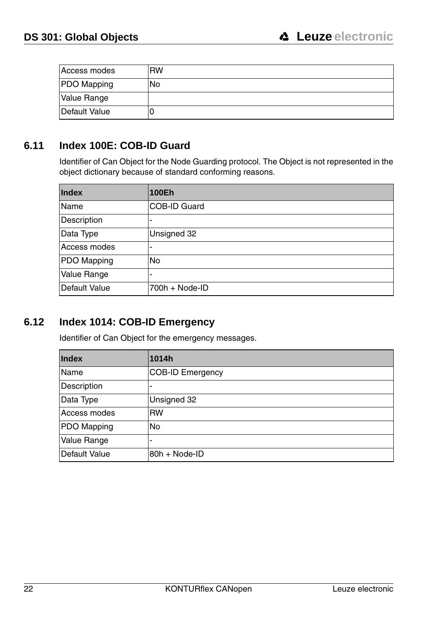| Access modes       | <b>RW</b> |
|--------------------|-----------|
| <b>PDO</b> Mapping | No        |
| Value Range        |           |
| Default Value      |           |

# <span id="page-23-0"></span>**6.11 Index 100E: COB-ID Guard**

Identifier of Can Object for the Node Guarding protocol. The Object is not represented in the object dictionary because of standard conforming reasons.

| <b>Index</b>  | 100Eh                    |
|---------------|--------------------------|
| Name          | COB-ID Guard             |
| Description   | $\overline{\phantom{a}}$ |
| Data Type     | Unsigned 32              |
| Access modes  | -                        |
| PDO Mapping   | No                       |
| Value Range   | -                        |
| Default Value | 700h + Node-ID           |

# <span id="page-23-1"></span>**6.12 Index 1014: COB-ID Emergency**

Identifier of Can Object for the emergency messages.

| Index         | 1014h                   |
|---------------|-------------------------|
| Name          | <b>COB-ID Emergency</b> |
| Description   |                         |
| Data Type     | Unsigned 32             |
| Access modes  | <b>RW</b>               |
| PDO Mapping   | No                      |
| Value Range   |                         |
| Default Value | 80h + Node-ID           |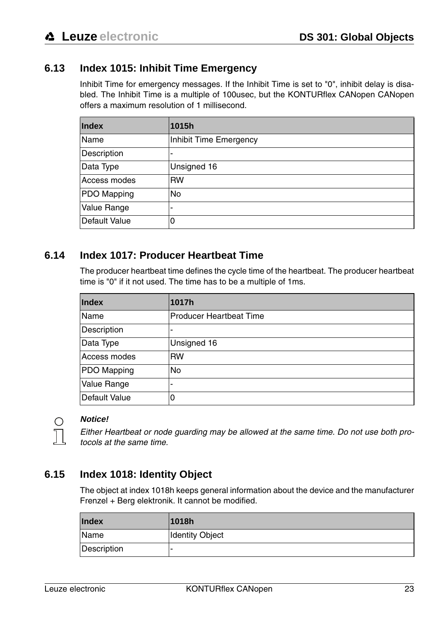## <span id="page-24-0"></span>**6.13 Index 1015: Inhibit Time Emergency**

Inhibit Time for emergency messages. If the Inhibit Time is set to "0", inhibit delay is disabled. The Inhibit Time is a multiple of 100usec, but the KONTURflex CANopen CANopen offers a maximum resolution of 1 millisecond.

| Index         | 1015h                  |
|---------------|------------------------|
| Name          | Inhibit Time Emergency |
| Description   | -                      |
| Data Type     | Unsigned 16            |
| Access modes  | <b>RW</b>              |
| PDO Mapping   | No                     |
| Value Range   | -                      |
| Default Value | 0                      |

#### <span id="page-24-1"></span>**6.14 Index 1017: Producer Heartbeat Time**

The producer heartbeat time defines the cycle time of the heartbeat. The producer heartbeat time is "0" if it not used. The time has to be a multiple of 1ms.

| <b>Index</b>  | 1017h                          |
|---------------|--------------------------------|
| Name          | <b>Producer Heartbeat Time</b> |
| Description   | -                              |
| Data Type     | Unsigned 16                    |
| Access modes  | <b>RW</b>                      |
| PDO Mapping   | <b>No</b>                      |
| Value Range   | $\overline{\phantom{a}}$       |
| Default Value | 0                              |



#### **Notice!**

Either Heartbeat or node guarding may be allowed at the same time. Do not use both protocols at the same time.

#### <span id="page-24-2"></span>**6.15 Index 1018: Identity Object**

The object at index 1018h keeps general information about the device and the manufacturer Frenzel + Berg elektronik. It cannot be modified.

| <b>Index</b> | 1018h                  |
|--------------|------------------------|
| Name         | <b>Identity Object</b> |
| Description  | -                      |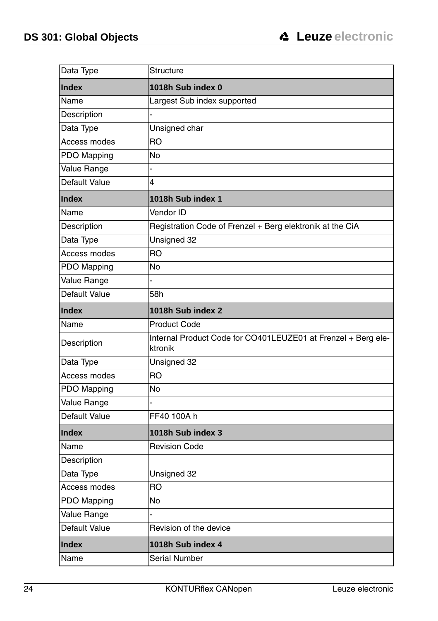| Data Type     | Structure                                                                |
|---------------|--------------------------------------------------------------------------|
| <b>Index</b>  | 1018h Sub index 0                                                        |
| Name          | Largest Sub index supported                                              |
| Description   |                                                                          |
| Data Type     | Unsigned char                                                            |
| Access modes  | RO                                                                       |
| PDO Mapping   | No                                                                       |
| Value Range   |                                                                          |
| Default Value | 4                                                                        |
| <b>Index</b>  | 1018h Sub index 1                                                        |
| Name          | Vendor ID                                                                |
| Description   | Registration Code of Frenzel + Berg elektronik at the CiA                |
| Data Type     | Unsigned 32                                                              |
| Access modes  | RO                                                                       |
| PDO Mapping   | No                                                                       |
| Value Range   |                                                                          |
| Default Value | 58h                                                                      |
| <b>Index</b>  | 1018h Sub index 2                                                        |
| Name          | <b>Product Code</b>                                                      |
| Description   | Internal Product Code for CO401LEUZE01 at Frenzel + Berg ele-<br>ktronik |
| Data Type     | Unsigned 32                                                              |
| Access modes  | <b>RO</b>                                                                |
| PDO Mapping   | No                                                                       |
| Value Range   |                                                                          |
| Default Value | FF40 100A h                                                              |
| <b>Index</b>  | 1018h Sub index 3                                                        |
| Name          | <b>Revision Code</b>                                                     |
| Description   |                                                                          |
| Data Type     | Unsigned 32                                                              |
| Access modes  | RO                                                                       |
| PDO Mapping   | No                                                                       |
| Value Range   |                                                                          |
| Default Value | Revision of the device                                                   |
| <b>Index</b>  | 1018h Sub index 4                                                        |
| Name          | <b>Serial Number</b>                                                     |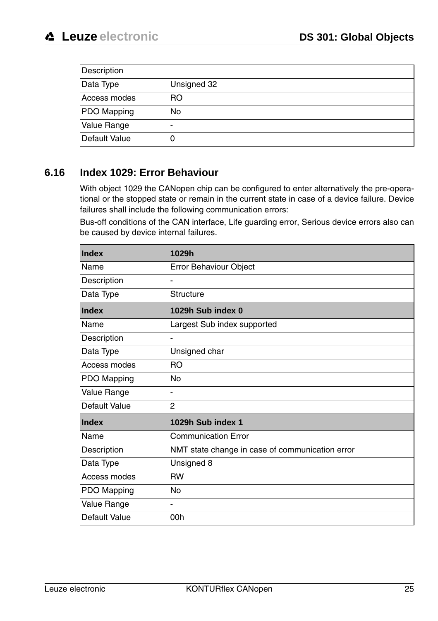| Description   |             |
|---------------|-------------|
| Data Type     | Unsigned 32 |
| Access modes  | RO.         |
| PDO Mapping   | <b>No</b>   |
| Value Range   |             |
| Default Value | U           |

# <span id="page-26-0"></span>**6.16 Index 1029: Error Behaviour**

With object 1029 the CANopen chip can be configured to enter alternatively the pre-operational or the stopped state or remain in the current state in case of a device failure. Device failures shall include the following communication errors:

Bus-off conditions of the CAN interface, Life guarding error, Serious device errors also can be caused by device internal failures.

| Index         | 1029h                                           |
|---------------|-------------------------------------------------|
| Name          | Error Behaviour Object                          |
| Description   |                                                 |
| Data Type     | <b>Structure</b>                                |
| Index         | 1029h Sub index 0                               |
| Name          | Largest Sub index supported                     |
| Description   |                                                 |
| Data Type     | Unsigned char                                   |
| Access modes  | <b>RO</b>                                       |
| PDO Mapping   | No                                              |
| Value Range   |                                                 |
| Default Value | 2                                               |
| Index         | 1029h Sub index 1                               |
| Name          | <b>Communication Error</b>                      |
| Description   | NMT state change in case of communication error |
| Data Type     | Unsigned 8                                      |
| Access modes  | <b>RW</b>                                       |
| PDO Mapping   | <b>No</b>                                       |
| Value Range   |                                                 |
| Default Value | 00h                                             |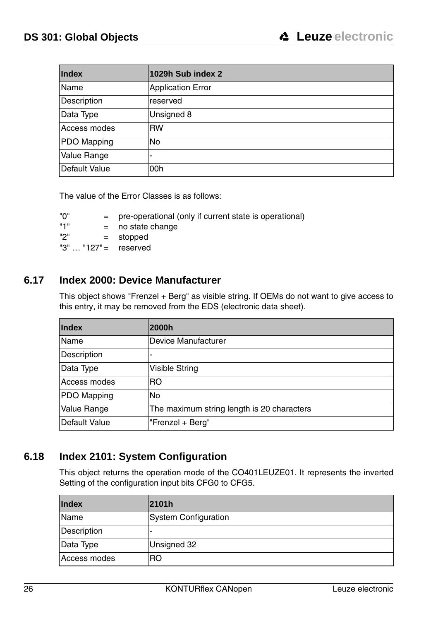| Index         | 1029h Sub index 2        |
|---------------|--------------------------|
| Name          | <b>Application Error</b> |
| Description   | reserved                 |
| Data Type     | Unsigned 8               |
| Access modes  | <b>RW</b>                |
| PDO Mapping   | <b>No</b>                |
| Value Range   | -                        |
| Default Value | 00h                      |

The value of the Error Classes is as follows:

"0" = pre-operational (only if current state is operational)

"1"  $=$  no state change<br>"2"  $=$  stopped

= stopped

 $"3" \dots "127" =$  reserved

#### <span id="page-27-0"></span>**6.17 Index 2000: Device Manufacturer**

This object shows "Frenzel + Berg" as visible string. If OEMs do not want to give access to this entry, it may be removed from the EDS (electronic data sheet).

| <b>Index</b>  | 2000h                                      |
|---------------|--------------------------------------------|
| Name          | Device Manufacturer                        |
| Description   | -                                          |
| Data Type     | Visible String                             |
| Access modes  | R <sub>O</sub>                             |
| PDO Mapping   | <b>No</b>                                  |
| Value Range   | The maximum string length is 20 characters |
| Default Value | "Frenzel + Berg"                           |

#### <span id="page-27-1"></span>**6.18 Index 2101: System Configuration**

This object returns the operation mode of the CO401LEUZE01. It represents the inverted Setting of the configuration input bits CFG0 to CFG5.

| <b>Index</b> | 2101h                       |
|--------------|-----------------------------|
| Name         | <b>System Configuration</b> |
| Description  | -                           |
| Data Type    | Unsigned 32                 |
| Access modes | RO                          |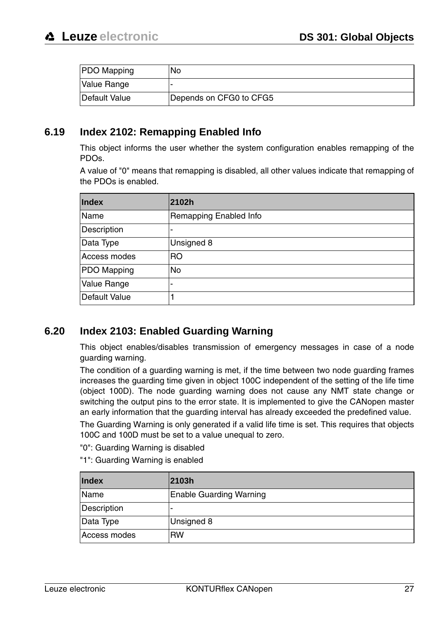| <b>PDO Mapping</b> | No                      |
|--------------------|-------------------------|
| Value Range        |                         |
| Default Value      | Depends on CFG0 to CFG5 |

#### <span id="page-28-0"></span>**6.19 Index 2102: Remapping Enabled Info**

This object informs the user whether the system configuration enables remapping of the PDOs.

A value of "0" means that remapping is disabled, all other values indicate that remapping of the PDOs is enabled.

| Index         | 2102h                  |  |  |  |
|---------------|------------------------|--|--|--|
| Name          | Remapping Enabled Info |  |  |  |
| Description   | -                      |  |  |  |
| Data Type     | Unsigned 8             |  |  |  |
| Access modes  | R <sub>O</sub>         |  |  |  |
| PDO Mapping   | No                     |  |  |  |
| Value Range   | -                      |  |  |  |
| Default Value |                        |  |  |  |

#### <span id="page-28-1"></span>**6.20 Index 2103: Enabled Guarding Warning**

This object enables/disables transmission of emergency messages in case of a node guarding warning.

The condition of a guarding warning is met, if the time between two node guarding frames increases the guarding time given in object 100C independent of the setting of the life time (object 100D). The node guarding warning does not cause any NMT state change or switching the output pins to the error state. It is implemented to give the CANopen master an early information that the guarding interval has already exceeded the predefined value.

The Guarding Warning is only generated if a valid life time is set. This requires that objects 100C and 100D must be set to a value unequal to zero.

"0": Guarding Warning is disabled

"1": Guarding Warning is enabled

| <b>Index</b> | 2103h                          |  |  |  |
|--------------|--------------------------------|--|--|--|
| Name         | <b>Enable Guarding Warning</b> |  |  |  |
| Description  | -                              |  |  |  |
| Data Type    | Unsigned 8                     |  |  |  |
| Access modes | <b>RW</b>                      |  |  |  |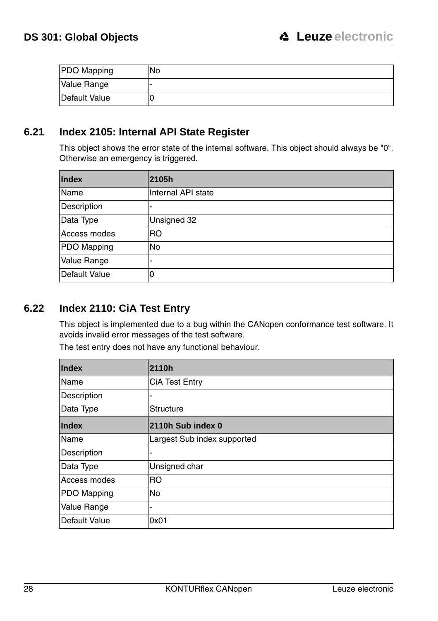| PDO Mapping   | No |
|---------------|----|
| Value Range   |    |
| Default Value |    |

#### <span id="page-29-0"></span>**6.21 Index 2105: Internal API State Register**

This object shows the error state of the internal software. This object should always be "0". Otherwise an emergency is triggered.

| Index         | 2105h              |  |  |  |  |
|---------------|--------------------|--|--|--|--|
| Name          | Internal API state |  |  |  |  |
| Description   | ٠                  |  |  |  |  |
| Data Type     | Unsigned 32        |  |  |  |  |
| Access modes  | R <sub>O</sub>     |  |  |  |  |
| PDO Mapping   | No                 |  |  |  |  |
| Value Range   | -                  |  |  |  |  |
| Default Value | 0                  |  |  |  |  |

# <span id="page-29-1"></span>**6.22 Index 2110: CiA Test Entry**

This object is implemented due to a bug within the CANopen conformance test software. It avoids invalid error messages of the test software.

The test entry does not have any functional behaviour.

| Index         | 2110h                       |  |  |  |
|---------------|-----------------------------|--|--|--|
| Name          | CiA Test Entry              |  |  |  |
| Description   | -                           |  |  |  |
| Data Type     | Structure                   |  |  |  |
| <b>Index</b>  | 2110h Sub index 0           |  |  |  |
| Name          | Largest Sub index supported |  |  |  |
| Description   | -                           |  |  |  |
| Data Type     | Unsigned char               |  |  |  |
| Access modes  | <b>IRO</b>                  |  |  |  |
| PDO Mapping   | <b>No</b>                   |  |  |  |
| Value Range   | $\blacksquare$              |  |  |  |
| Default Value | 0x01                        |  |  |  |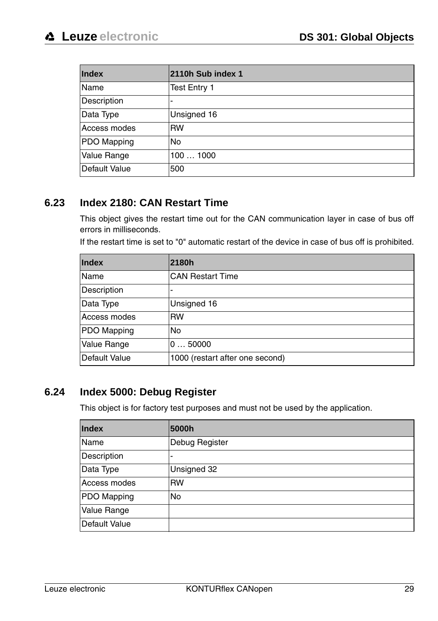| Index         | 2110h Sub index 1 |  |  |  |
|---------------|-------------------|--|--|--|
| Name          | Test Entry 1      |  |  |  |
| Description   | -                 |  |  |  |
| Data Type     | Unsigned 16       |  |  |  |
| Access modes  | <b>RW</b>         |  |  |  |
| PDO Mapping   | <b>No</b>         |  |  |  |
| Value Range   | 1001000           |  |  |  |
| Default Value | 500               |  |  |  |

## <span id="page-30-0"></span>**6.23 Index 2180: CAN Restart Time**

This object gives the restart time out for the CAN communication layer in case of bus off errors in milliseconds.

If the restart time is set to "0" automatic restart of the device in case of bus off is prohibited.

| <b>Index</b>       | 2180h                           |  |  |
|--------------------|---------------------------------|--|--|
| Name               | <b>CAN Restart Time</b>         |  |  |
| Description        | ٠                               |  |  |
| Data Type          | Unsigned 16                     |  |  |
| Access modes       | <b>RW</b>                       |  |  |
| <b>PDO Mapping</b> | <b>No</b>                       |  |  |
| Value Range        | 050000                          |  |  |
| Default Value      | 1000 (restart after one second) |  |  |

#### <span id="page-30-1"></span>**6.24 Index 5000: Debug Register**

This object is for factory test purposes and must not be used by the application.

| Index         | 5000h          |  |  |  |
|---------------|----------------|--|--|--|
| Name          | Debug Register |  |  |  |
| Description   | -              |  |  |  |
| Data Type     | Unsigned 32    |  |  |  |
| Access modes  | <b>RW</b>      |  |  |  |
| PDO Mapping   | No             |  |  |  |
| Value Range   |                |  |  |  |
| Default Value |                |  |  |  |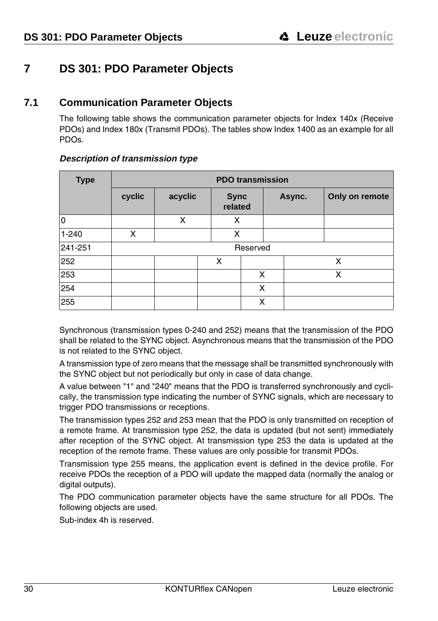# <span id="page-31-0"></span>**7 DS 301: PDO Parameter Objects**

#### <span id="page-31-1"></span>**7.1 Communication Parameter Objects**

The following table shows the communication parameter objects for Index 140x (Receive PDOs) and Index 180x (Transmit PDOs). The tables show Index 1400 as an example for all PDOs.

| <b>Type</b> | <b>PDO</b> transmission |         |                        |   |        |                |
|-------------|-------------------------|---------|------------------------|---|--------|----------------|
|             | cyclic                  | acyclic | <b>Sync</b><br>related |   | Async. | Only on remote |
| lo          |                         | x       | x                      |   |        |                |
| $1 - 240$   | x                       |         | x                      |   |        |                |
| 241-251     | Reserved                |         |                        |   |        |                |
| 252         |                         | x       |                        |   |        | x              |
| 253         |                         |         | x                      |   |        | x              |
| 254         |                         |         |                        | X |        |                |
| 255         |                         |         |                        | x |        |                |

#### **Description of transmission type**

Synchronous (transmission types 0-240 and 252) means that the transmission of the PDO shall be related to the SYNC object. Asynchronous means that the transmission of the PDO is not related to the SYNC object.

A transmission type of zero means that the message shall be transmitted synchronously with the SYNC object but not periodically but only in case of data change.

A value between "1" and "240" means that the PDO is transferred synchronously and cyclically, the transmission type indicating the number of SYNC signals, which are necessary to trigger PDO transmissions or receptions.

The transmission types 252 and 253 mean that the PDO is only transmitted on reception of a remote frame. At transmission type 252, the data is updated (but not sent) immediately after reception of the SYNC object. At transmission type 253 the data is updated at the reception of the remote frame. These values are only possible for transmit PDOs.

Transmission type 255 means, the application event is defined in the device profile. For receive PDOs the reception of a PDO will update the mapped data (normally the analog or digital outputs).

The PDO communication parameter objects have the same structure for all PDOs. The following objects are used.

Sub-index 4h is reserved.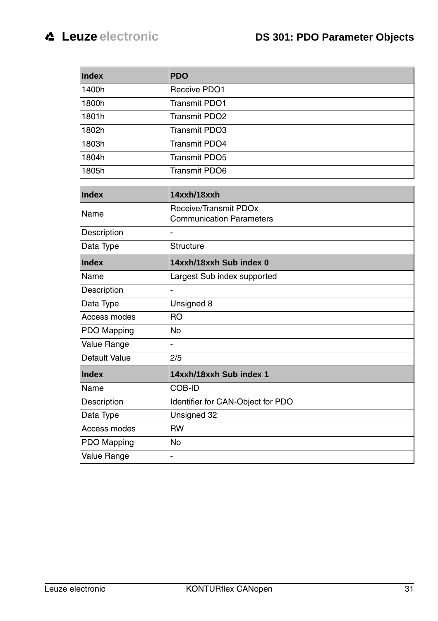| Index         | <b>PDO</b>                                               |  |  |  |
|---------------|----------------------------------------------------------|--|--|--|
| 1400h         | Receive PDO1                                             |  |  |  |
| 1800h         | Transmit PDO1                                            |  |  |  |
| 1801h         | <b>Transmit PDO2</b>                                     |  |  |  |
| 1802h         | <b>Transmit PDO3</b>                                     |  |  |  |
| 1803h         | <b>Transmit PDO4</b>                                     |  |  |  |
| 1804h         | <b>Transmit PDO5</b>                                     |  |  |  |
| 1805h         | <b>Transmit PDO6</b>                                     |  |  |  |
| Index         | 14xxh/18xxh                                              |  |  |  |
| Name          | Receive/Transmit PDOx<br><b>Communication Parameters</b> |  |  |  |
| Description   |                                                          |  |  |  |
| Data Type     | Structure                                                |  |  |  |
| Index         | 14xxh/18xxh Sub index 0                                  |  |  |  |
| Name          | Largest Sub index supported                              |  |  |  |
| Description   |                                                          |  |  |  |
| Data Type     | Unsigned 8                                               |  |  |  |
| Access modes  | <b>RO</b>                                                |  |  |  |
| PDO Mapping   | No                                                       |  |  |  |
| Value Range   | L                                                        |  |  |  |
| Default Value | 2/5                                                      |  |  |  |
| Index         | 14xxh/18xxh Sub index 1                                  |  |  |  |
| Name          | COB-ID                                                   |  |  |  |
| Description   | Identifier for CAN-Object for PDO                        |  |  |  |
| Data Type     | Unsigned 32                                              |  |  |  |
| Access modes  | <b>RW</b>                                                |  |  |  |
| PDO Mapping   | <b>No</b>                                                |  |  |  |
| Value Range   |                                                          |  |  |  |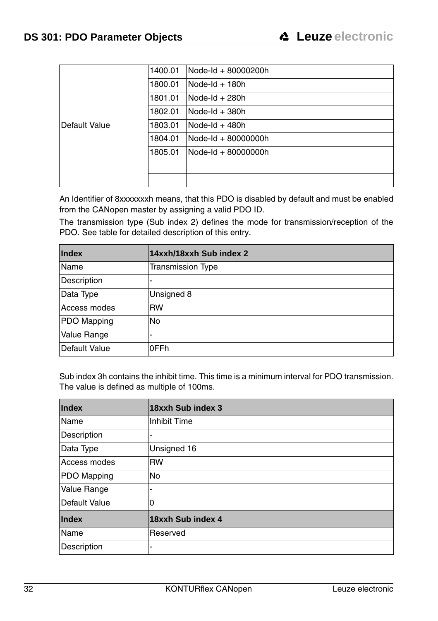|               | 1400.01 | Node-Id + 80000200h |
|---------------|---------|---------------------|
|               | 1800.01 | Node- $dd + 180h$   |
|               | 1801.01 | Node-Id $+280h$     |
|               | 1802.01 | Node-Id $+380h$     |
| Default Value | 1803.01 | Node-Id $+$ 480h    |
|               | 1804.01 | Node-Id + 80000000h |
|               | 1805.01 | Node-Id + 80000000h |
|               |         |                     |
|               |         |                     |

An Identifier of 8xxxxxxxh means, that this PDO is disabled by default and must be enabled from the CANopen master by assigning a valid PDO ID.

The transmission type (Sub index 2) defines the mode for transmission/reception of the PDO. See table for detailed description of this entry.

| <b>Index</b>  | 14xxh/18xxh Sub index 2  |  |  |
|---------------|--------------------------|--|--|
| Name          | <b>Transmission Type</b> |  |  |
| Description   | -                        |  |  |
| Data Type     | Unsigned 8               |  |  |
| Access modes  | <b>RW</b>                |  |  |
| PDO Mapping   | No                       |  |  |
| Value Range   | -                        |  |  |
| Default Value | 0FFh                     |  |  |

Sub index 3h contains the inhibit time. This time is a minimum interval for PDO transmission. The value is defined as multiple of 100ms.

| Index         | 18xxh Sub index 3 |
|---------------|-------------------|
| Name          | Inhibit Time      |
| Description   | ۰                 |
| Data Type     | Unsigned 16       |
| Access modes  | <b>RW</b>         |
| PDO Mapping   | <b>No</b>         |
| Value Range   | ٠                 |
| Default Value | 0                 |
| <b>Index</b>  | 18xxh Sub index 4 |
| Name          | Reserved          |
| Description   | ٠                 |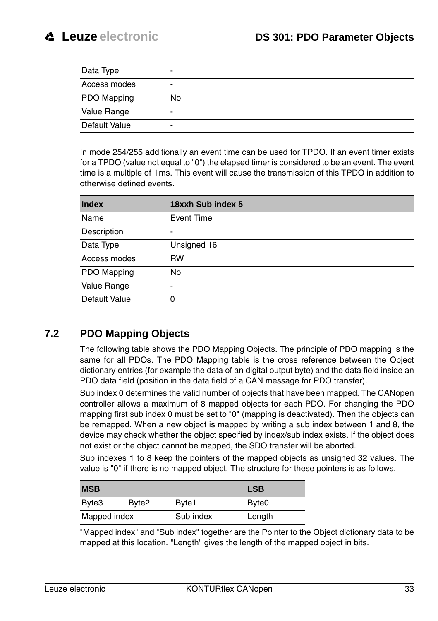| Data Type     | -         |
|---------------|-----------|
| Access modes  | -         |
| PDO Mapping   | <b>No</b> |
| Value Range   | -         |
| Default Value | -         |

In mode 254/255 additionally an event time can be used for TPDO. If an event timer exists for a TPDO (value not equal to "0") the elapsed timer is considered to be an event. The event time is a multiple of 1ms. This event will cause the transmission of this TPDO in addition to otherwise defined events.

| Index         | 18xxh Sub index 5        |
|---------------|--------------------------|
| Name          | Event Time               |
| Description   | -                        |
| Data Type     | Unsigned 16              |
| Access modes  | <b>RW</b>                |
| PDO Mapping   | No                       |
| Value Range   | $\overline{\phantom{a}}$ |
| Default Value | 0                        |

#### <span id="page-34-0"></span>**7.2 PDO Mapping Objects**

The following table shows the PDO Mapping Objects. The principle of PDO mapping is the same for all PDOs. The PDO Mapping table is the cross reference between the Object dictionary entries (for example the data of an digital output byte) and the data field inside an PDO data field (position in the data field of a CAN message for PDO transfer).

Sub index 0 determines the valid number of objects that have been mapped. The CANopen controller allows a maximum of 8 mapped objects for each PDO. For changing the PDO mapping first sub index 0 must be set to "0" (mapping is deactivated). Then the objects can be remapped. When a new object is mapped by writing a sub index between 1 and 8, the device may check whether the object specified by index/sub index exists. If the object does not exist or the object cannot be mapped, the SDO transfer will be aborted.

Sub indexes 1 to 8 keep the pointers of the mapped objects as unsigned 32 values. The value is "0" if there is no mapped object. The structure for these pointers is as follows.

| <b>MSB</b>   |       |           | <b>LSB</b>        |
|--------------|-------|-----------|-------------------|
| Byte3        | Byte2 | Bvte1     | Byte <sub>0</sub> |
| Mapped index |       | Sub index | Length            |

"Mapped index" and "Sub index" together are the Pointer to the Object dictionary data to be mapped at this location. "Length" gives the length of the mapped object in bits.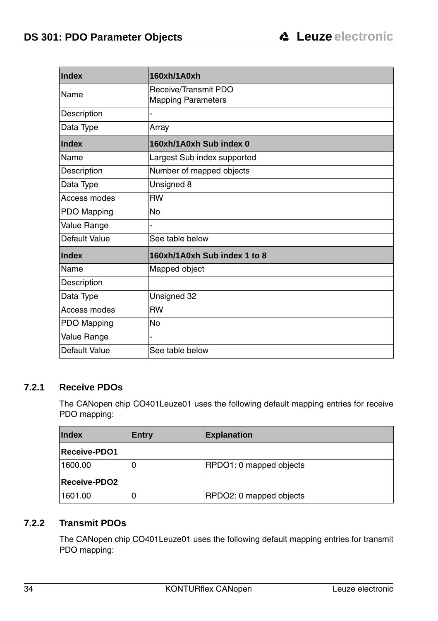| Index         | 160xh/1A0xh                  |
|---------------|------------------------------|
| Name          | Receive/Transmit PDO         |
|               | <b>Mapping Parameters</b>    |
| Description   |                              |
| Data Type     | Array                        |
| Index         | 160xh/1A0xh Sub index 0      |
| Name          | Largest Sub index supported  |
| Description   | Number of mapped objects     |
| Data Type     | Unsigned 8                   |
| Access modes  | <b>RW</b>                    |
| PDO Mapping   | No                           |
| Value Range   |                              |
| Default Value | See table below              |
| Index         | 160xh/1A0xh Sub index 1 to 8 |
| Name          | Mapped object                |
| Description   |                              |
| Data Type     | Unsigned 32                  |
| Access modes  | <b>RW</b>                    |
| PDO Mapping   | No                           |
| Value Range   |                              |
| Default Value | See table below              |

#### <span id="page-35-0"></span>**7.2.1 Receive PDOs**

The CANopen chip CO401Leuze01 uses the following default mapping entries for receive PDO mapping:

| Index               | Entry    | <b>Explanation</b>      |
|---------------------|----------|-------------------------|
| <b>Receive-PDO1</b> |          |                         |
| 1600.00             | <b>U</b> | RPDO1: 0 mapped objects |
| <b>Receive-PDO2</b> |          |                         |
| 1601.00             | O        | RPDO2: 0 mapped objects |

#### <span id="page-35-1"></span>**7.2.2 Transmit PDOs**

The CANopen chip CO401Leuze01 uses the following default mapping entries for transmit PDO mapping: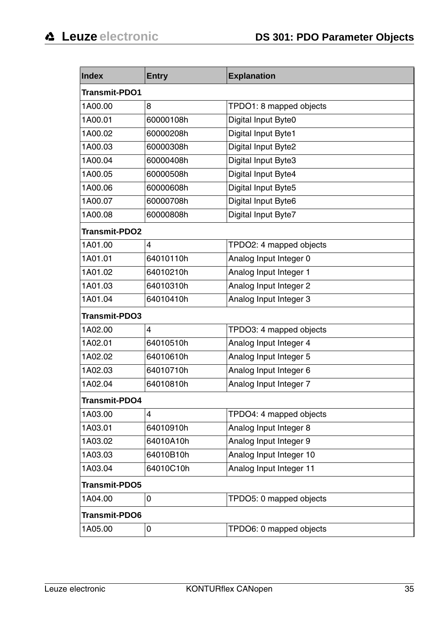| Index                | <b>Entry</b> | <b>Explanation</b>      |  |
|----------------------|--------------|-------------------------|--|
| Transmit-PDO1        |              |                         |  |
| 1A00.00              | 8            | TPDO1: 8 mapped objects |  |
| 1A00.01              | 60000108h    | Digital Input Byte0     |  |
| 1A00.02              | 60000208h    | Digital Input Byte1     |  |
| 1A00.03              | 60000308h    | Digital Input Byte2     |  |
| 1A00.04              | 60000408h    | Digital Input Byte3     |  |
| 1A00.05              | 60000508h    | Digital Input Byte4     |  |
| 1A00.06              | 60000608h    | Digital Input Byte5     |  |
| 1A00.07              | 60000708h    | Digital Input Byte6     |  |
| 1A00.08              | 60000808h    | Digital Input Byte7     |  |
| <b>Transmit-PDO2</b> |              |                         |  |
| 1A01.00              | 4            | TPDO2: 4 mapped objects |  |
| 1A01.01              | 64010110h    | Analog Input Integer 0  |  |
| 1A01.02              | 64010210h    | Analog Input Integer 1  |  |
| 1A01.03              | 64010310h    | Analog Input Integer 2  |  |
| 1A01.04              | 64010410h    | Analog Input Integer 3  |  |
| Transmit-PDO3        |              |                         |  |
| 1A02.00              | 4            | TPDO3: 4 mapped objects |  |
| 1A02.01              | 64010510h    | Analog Input Integer 4  |  |
| 1A02.02              | 64010610h    | Analog Input Integer 5  |  |
| 1A02.03              | 64010710h    | Analog Input Integer 6  |  |
| 1A02.04              | 64010810h    | Analog Input Integer 7  |  |
| Transmit-PDO4        |              |                         |  |
| 1A03.00              | 4            | TPDO4: 4 mapped objects |  |
| 1A03.01              | 64010910h    | Analog Input Integer 8  |  |
| 1A03.02              | 64010A10h    | Analog Input Integer 9  |  |
| 1A03.03              | 64010B10h    | Analog Input Integer 10 |  |
| 1A03.04              | 64010C10h    | Analog Input Integer 11 |  |
| Transmit-PDO5        |              |                         |  |
| 1A04.00              | 0            | TPDO5: 0 mapped objects |  |
| <b>Transmit-PDO6</b> |              |                         |  |
| 1A05.00              | 0            | TPDO6: 0 mapped objects |  |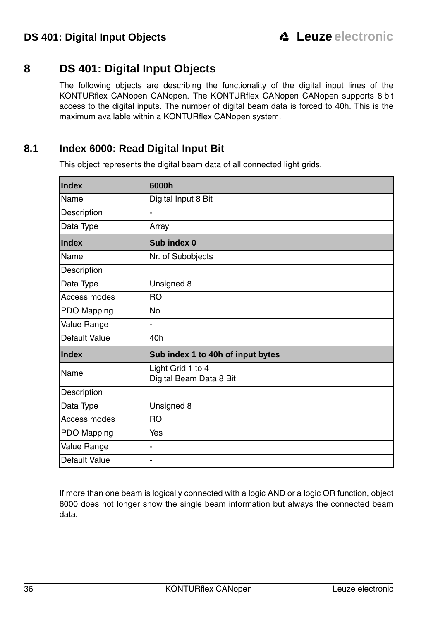# <span id="page-37-0"></span>**8 DS 401: Digital Input Objects**

The following objects are describing the functionality of the digital input lines of the KONTURflex CANopen CANopen. The KONTURflex CANopen CANopen supports 8 bit access to the digital inputs. The number of digital beam data is forced to 40h. This is the maximum available within a KONTURflex CANopen system.

# <span id="page-37-1"></span>**8.1 Index 6000: Read Digital Input Bit**

This object represents the digital beam data of all connected light grids.

| Index         | 6000h                                        |  |
|---------------|----------------------------------------------|--|
| Name          | Digital Input 8 Bit                          |  |
| Description   | Ĭ.                                           |  |
| Data Type     | Array                                        |  |
| Index         | Sub index 0                                  |  |
| Name          | Nr. of Subobjects                            |  |
| Description   |                                              |  |
| Data Type     | Unsigned 8                                   |  |
| Access modes  | <b>RO</b>                                    |  |
| PDO Mapping   | <b>No</b>                                    |  |
| Value Range   |                                              |  |
| Default Value | 40h                                          |  |
| Index         | Sub index 1 to 40h of input bytes            |  |
| Name          | Light Grid 1 to 4<br>Digital Beam Data 8 Bit |  |
| Description   |                                              |  |
| Data Type     | Unsigned 8                                   |  |
| Access modes  | <b>RO</b>                                    |  |
| PDO Mapping   | Yes                                          |  |
| Value Range   |                                              |  |
| Default Value | ۰                                            |  |

If more than one beam is logically connected with a logic AND or a logic OR function, object 6000 does not longer show the single beam information but always the connected beam data.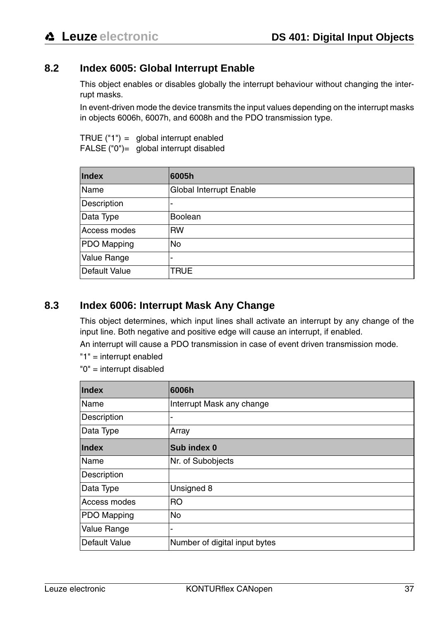#### <span id="page-38-0"></span>**8.2 Index 6005: Global Interrupt Enable**

This object enables or disables globally the interrupt behaviour without changing the interrupt masks.

In event-driven mode the device transmits the input values depending on the interrupt masks in objects 6006h, 6007h, and 6008h and the PDO transmission type.

TRUE ("1") = global interrupt enabled FALSE ("0")= global interrupt disabled

| <b>Index</b>  | 6005h                   |
|---------------|-------------------------|
| Name          | Global Interrupt Enable |
| Description   |                         |
| Data Type     | <b>Boolean</b>          |
| Access modes  | <b>RW</b>               |
| PDO Mapping   | No                      |
| Value Range   |                         |
| Default Value | <b>TRUE</b>             |

#### <span id="page-38-1"></span>**8.3 Index 6006: Interrupt Mask Any Change**

This object determines, which input lines shall activate an interrupt by any change of the input line. Both negative and positive edge will cause an interrupt, if enabled.

An interrupt will cause a PDO transmission in case of event driven transmission mode.

- "1" = interrupt enabled
- "0" = interrupt disabled

| Index         | 6006h                         |
|---------------|-------------------------------|
| Name          | Interrupt Mask any change     |
| Description   | ٠                             |
| Data Type     | Array                         |
| <b>Index</b>  | Sub index 0                   |
| Name          | Nr. of Subobjects             |
| Description   |                               |
| Data Type     | Unsigned 8                    |
| Access modes  | R <sub>O</sub>                |
| PDO Mapping   | No                            |
| Value Range   | ۰                             |
| Default Value | Number of digital input bytes |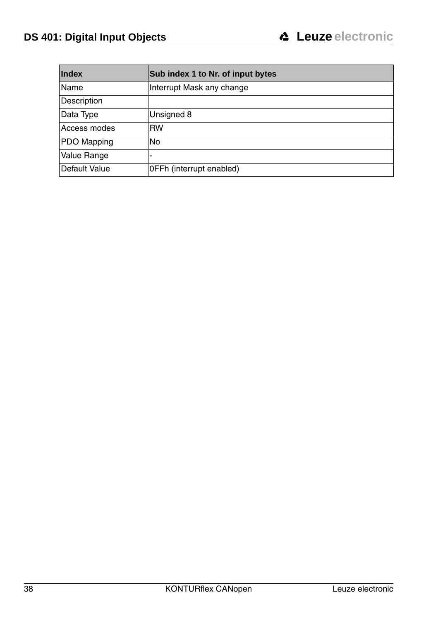| <b>Index</b>  | Sub index 1 to Nr. of input bytes |
|---------------|-----------------------------------|
| Name          | Interrupt Mask any change         |
| Description   |                                   |
| Data Type     | Unsigned 8                        |
| Access modes  | <b>RW</b>                         |
| PDO Mapping   | <b>No</b>                         |
| Value Range   | ٠                                 |
| Default Value | OFFh (interrupt enabled)          |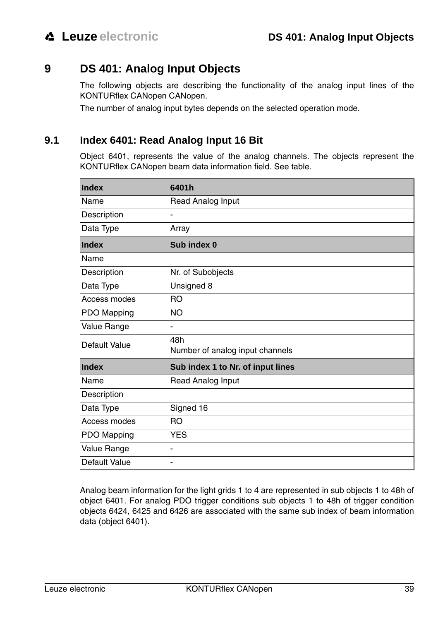# <span id="page-40-0"></span>**9 DS 401: Analog Input Objects**

The following objects are describing the functionality of the analog input lines of the KONTURflex CANopen CANopen.

The number of analog input bytes depends on the selected operation mode.

#### <span id="page-40-1"></span>**9.1 Index 6401: Read Analog Input 16 Bit**

Object 6401, represents the value of the analog channels. The objects represent the KONTURflex CANopen beam data information field. See table.

| Index         | 6401h                                  |  |
|---------------|----------------------------------------|--|
| Name          | Read Analog Input                      |  |
| Description   |                                        |  |
| Data Type     | Array                                  |  |
| Index         | Sub index 0                            |  |
| Name          |                                        |  |
| Description   | Nr. of Subobjects                      |  |
| Data Type     | Unsigned 8                             |  |
| Access modes  | <b>RO</b>                              |  |
| PDO Mapping   | <b>NO</b>                              |  |
| Value Range   | -                                      |  |
| Default Value | 48h<br>Number of analog input channels |  |
| <b>Index</b>  | Sub index 1 to Nr. of input lines      |  |
| Name          | Read Analog Input                      |  |
| Description   |                                        |  |
| Data Type     | Signed 16                              |  |
| Access modes  | <b>RO</b>                              |  |
| PDO Mapping   | <b>YES</b>                             |  |
| Value Range   | Ĭ.                                     |  |
| Default Value | -                                      |  |

Analog beam information for the light grids 1 to 4 are represented in sub objects 1 to 48h of object 6401. For analog PDO trigger conditions sub objects 1 to 48h of trigger condition objects 6424, 6425 and 6426 are associated with the same sub index of beam information data (object 6401).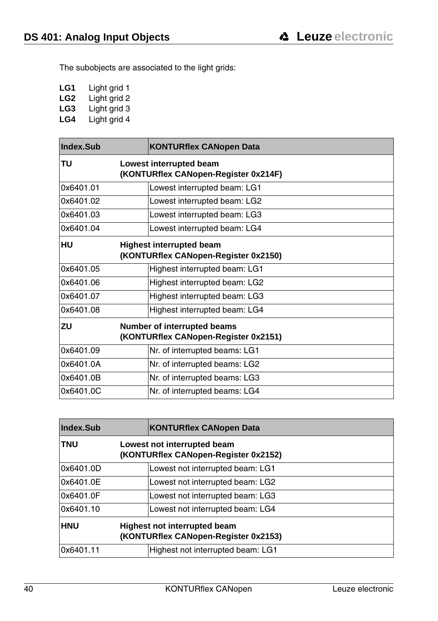The subobjects are associated to the light grids:

- **LG1** Light grid 1
- **LG2** Light grid 2
- LG3 Light grid 3<br>LG4 Light grid 4
- Light grid 4

| Index.Sub | <b>KONTURflex CANopen Data</b>                                          |
|-----------|-------------------------------------------------------------------------|
| TU        | Lowest interrupted beam<br>(KONTURflex CANopen-Register 0x214F)         |
| 0x6401.01 | Lowest interrupted beam: LG1                                            |
| 0x6401.02 | Lowest interrupted beam: LG2                                            |
| 0x6401.03 | Lowest interrupted beam: LG3                                            |
| 0x6401.04 | Lowest interrupted beam: LG4                                            |
| <b>HU</b> | <b>Highest interrupted beam</b><br>(KONTURflex CANopen-Register 0x2150) |
| 0x6401.05 | Highest interrupted beam: LG1                                           |
| 0x6401.06 | Highest interrupted beam: LG2                                           |
| 0x6401.07 | Highest interrupted beam: LG3                                           |
| 0x6401.08 | Highest interrupted beam: LG4                                           |
| ZU        | Number of interrupted beams<br>(KONTURflex CANopen-Register 0x2151)     |
| 0x6401.09 | Nr. of interrupted beams: LG1                                           |
| 0x6401.0A | Nr. of interrupted beams: LG2                                           |
| 0x6401.0B | Nr. of interrupted beams: LG3                                           |
| 0x6401.0C | Nr. of interrupted beams: LG4                                           |

| Index.Sub  | <b>KONTURflex CANopen Data</b>                                       |
|------------|----------------------------------------------------------------------|
| <b>TNU</b> | Lowest not interrupted beam<br>(KONTURflex CANopen-Register 0x2152)  |
| 0x6401.0D  | Lowest not interrupted beam: LG1                                     |
| 0x6401.0E  | Lowest not interrupted beam: LG2                                     |
| 0x6401.0F  | Lowest not interrupted beam: LG3                                     |
| 0x6401.10  | Lowest not interrupted beam: LG4                                     |
| <b>HNU</b> | Highest not interrupted beam<br>(KONTURflex CANopen-Register 0x2153) |
| 0x6401.11  | Highest not interrupted beam: LG1                                    |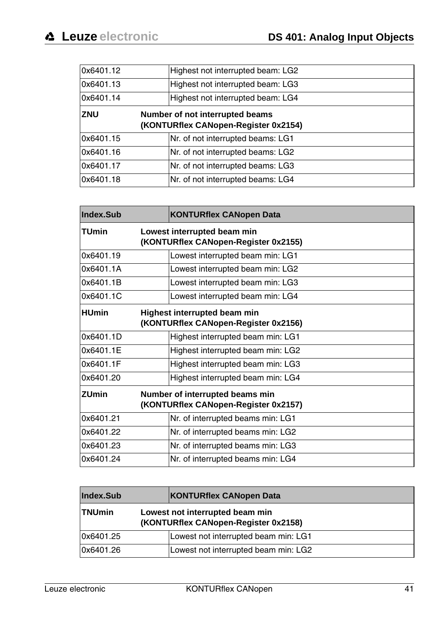| 0x6401.12  | Highest not interrupted beam: LG2                                       |
|------------|-------------------------------------------------------------------------|
| 0x6401.13  | Highest not interrupted beam: LG3                                       |
| 0x6401.14  | Highest not interrupted beam: LG4                                       |
| <b>ZNU</b> | Number of not interrupted beams<br>(KONTURflex CANopen-Register 0x2154) |
| 0x6401.15  | Nr. of not interrupted beams: LG1                                       |
| 0x6401.16  | Nr. of not interrupted beams: LG2                                       |
| 0x6401.17  | Nr. of not interrupted beams: LG3                                       |
| 0x6401.18  | Nr. of not interrupted beams: LG4                                       |

| Index.Sub    | <b>KONTURflex CANopen Data</b>                                          |
|--------------|-------------------------------------------------------------------------|
| <b>TUmin</b> | Lowest interrupted beam min<br>(KONTURflex CANopen-Register 0x2155)     |
| 0x6401.19    | Lowest interrupted beam min: LG1                                        |
| 0x6401.1A    | Lowest interrupted beam min: LG2                                        |
| 0x6401.1B    | Lowest interrupted beam min: LG3                                        |
| 0x6401.1C    | Lowest interrupted beam min: LG4                                        |
| <b>HUmin</b> | Highest interrupted beam min<br>(KONTURflex CANopen-Register 0x2156)    |
| 0x6401.1D    | Highest interrupted beam min: LG1                                       |
| 0x6401.1E    | Highest interrupted beam min: LG2                                       |
| 0x6401.1F    | Highest interrupted beam min: LG3                                       |
| 0x6401.20    | Highest interrupted beam min: LG4                                       |
| <b>ZUmin</b> | Number of interrupted beams min<br>(KONTURflex CANopen-Register 0x2157) |
| 0x6401.21    | Nr. of interrupted beams min: LG1                                       |
| 0x6401.22    | Nr. of interrupted beams min: LG2                                       |
| 0x6401.23    | Nr. of interrupted beams min: LG3                                       |
| 0x6401.24    | Nr. of interrupted beams min: LG4                                       |

| Index.Sub     | KONTURflex CANopen Data                                                 |
|---------------|-------------------------------------------------------------------------|
| <b>TNUmin</b> | Lowest not interrupted beam min<br>(KONTURflex CANopen-Register 0x2158) |
| 0x6401.25     | Lowest not interrupted beam min: LG1                                    |
| 0x6401.26     | Lowest not interrupted beam min: LG2                                    |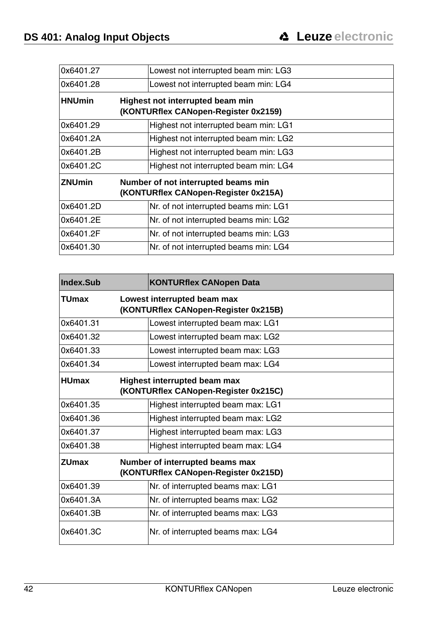| 0x6401.27     | Lowest not interrupted beam min: LG3                                        |
|---------------|-----------------------------------------------------------------------------|
| 0x6401.28     | Lowest not interrupted beam min: LG4                                        |
| <b>HNUmin</b> | Highest not interrupted beam min<br>(KONTURflex CANopen-Register 0x2159)    |
| 0x6401.29     | Highest not interrupted beam min: LG1                                       |
| 0x6401.2A     | Highest not interrupted beam min: LG2                                       |
| 0x6401.2B     | Highest not interrupted beam min: LG3                                       |
| 0x6401.2C     | Highest not interrupted beam min: LG4                                       |
| <b>ZNUmin</b> | Number of not interrupted beams min<br>(KONTURflex CANopen-Register 0x215A) |
| 0x6401.2D     | Nr. of not interrupted beams min: LG1                                       |
| 0x6401.2E     | Nr. of not interrupted beams min: LG2                                       |
| 0x6401.2F     | Nr. of not interrupted beams min: LG3                                       |
| 0x6401.30     | Nr. of not interrupted beams min: LG4                                       |

| Index.Sub    | <b>KONTURflex CANopen Data</b>                                              |
|--------------|-----------------------------------------------------------------------------|
| TUmax        | Lowest interrupted beam max<br>(KONTURflex CANopen-Register 0x215B)         |
| 0x6401.31    | Lowest interrupted beam max: LG1                                            |
| 0x6401.32    | Lowest interrupted beam max: LG2                                            |
| 0x6401.33    | Lowest interrupted beam max: LG3                                            |
| 0x6401.34    | Lowest interrupted beam max: LG4                                            |
| <b>HUmax</b> | <b>Highest interrupted beam max</b><br>(KONTURflex CANopen-Register 0x215C) |
| 0x6401.35    | Highest interrupted beam max: LG1                                           |
| 0x6401.36    | Highest interrupted beam max: LG2                                           |
| 0x6401.37    | Highest interrupted beam max: LG3                                           |
| 0x6401.38    | Highest interrupted beam max: LG4                                           |
| <b>ZUmax</b> | Number of interrupted beams max<br>(KONTURflex CANopen-Register 0x215D)     |
| 0x6401.39    | Nr. of interrupted beams max: LG1                                           |
| 0x6401.3A    | Nr. of interrupted beams max: LG2                                           |
| 0x6401.3B    | Nr. of interrupted beams max: LG3                                           |
| 0x6401.3C    | Nr. of interrupted beams max: LG4                                           |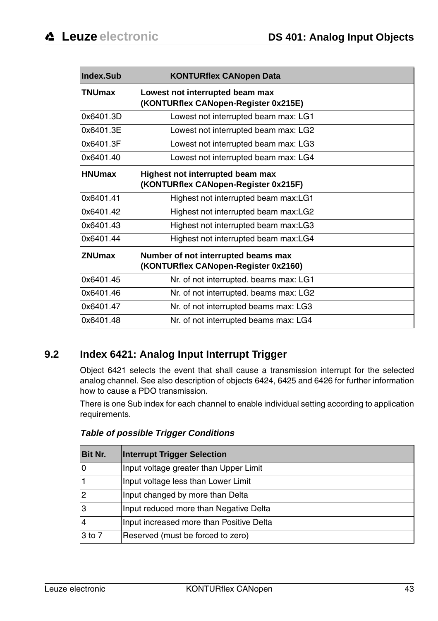| <b>Index Sub</b> |                                                                             | <b>KONTURflex CANopen Data</b>                                           |
|------------------|-----------------------------------------------------------------------------|--------------------------------------------------------------------------|
| <b>TNUmax</b>    |                                                                             | Lowest not interrupted beam max<br>(KONTURflex CANopen-Register 0x215E)  |
| 0x6401.3D        |                                                                             | Lowest not interrupted beam max: LG1                                     |
| 0x6401.3E        |                                                                             | Lowest not interrupted beam max: LG2                                     |
| 0x6401.3F        |                                                                             | Lowest not interrupted beam max: LG3                                     |
| 0x6401.40        |                                                                             | Lowest not interrupted beam max: LG4                                     |
| <b>HNUmax</b>    |                                                                             | Highest not interrupted beam max<br>(KONTURflex CANopen-Register 0x215F) |
| 0x6401.41        |                                                                             | Highest not interrupted beam max:LG1                                     |
| 0x6401.42        |                                                                             | Highest not interrupted beam max:LG2                                     |
| 0x6401.43        |                                                                             | Highest not interrupted beam max:LG3                                     |
| 0x6401.44        |                                                                             | Highest not interrupted beam max:LG4                                     |
| <b>ZNUmax</b>    | Number of not interrupted beams max<br>(KONTURflex CANopen-Register 0x2160) |                                                                          |
| 0x6401.45        |                                                                             | Nr. of not interrupted. beams max: LG1                                   |
| 0x6401.46        |                                                                             | Nr. of not interrupted. beams max: LG2                                   |
| 0x6401.47        |                                                                             | Nr. of not interrupted beams max: LG3                                    |
| 0x6401.48        |                                                                             | Nr. of not interrupted beams max: LG4                                    |

# <span id="page-44-0"></span>**9.2 Index 6421: Analog Input Interrupt Trigger**

Object 6421 selects the event that shall cause a transmission interrupt for the selected analog channel. See also description of objects 6424, 6425 and 6426 for further information how to cause a PDO transmission.

There is one Sub index for each channel to enable individual setting according to application requirements.

| <b>Bit Nr.</b> | <b>Interrupt Trigger Selection</b>       |
|----------------|------------------------------------------|
| ١o             | Input voltage greater than Upper Limit   |
|                | Input voltage less than Lower Limit      |
| 2              | Input changed by more than Delta         |
| l3             | Input reduced more than Negative Delta   |
|                | Input increased more than Positive Delta |
| 3 to 7         | Reserved (must be forced to zero)        |

#### <span id="page-44-1"></span>**Table of possible Trigger Conditions**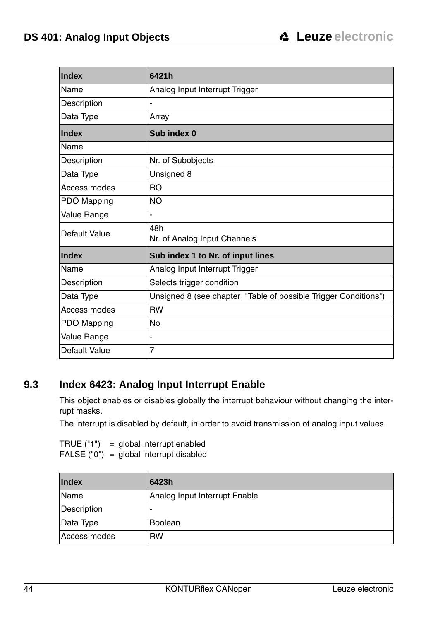| Index         | 6421h                                                           |
|---------------|-----------------------------------------------------------------|
| Name          | Analog Input Interrupt Trigger                                  |
| Description   | ä,                                                              |
| Data Type     | Array                                                           |
| <b>Index</b>  | Sub index 0                                                     |
| Name          |                                                                 |
| Description   | Nr. of Subobjects                                               |
| Data Type     | Unsigned 8                                                      |
| Access modes  | <b>RO</b>                                                       |
| PDO Mapping   | NO.                                                             |
| Value Range   | -                                                               |
| Default Value | 48h<br>Nr. of Analog Input Channels                             |
| <b>Index</b>  | Sub index 1 to Nr. of input lines                               |
| Name          | Analog Input Interrupt Trigger                                  |
| Description   | Selects trigger condition                                       |
| Data Type     | Unsigned 8 (see chapter "Table of possible Trigger Conditions") |
| Access modes  | <b>RW</b>                                                       |
| PDO Mapping   | No                                                              |
| Value Range   | ۰                                                               |
| Default Value | 7                                                               |

#### <span id="page-45-0"></span>**9.3 Index 6423: Analog Input Interrupt Enable**

This object enables or disables globally the interrupt behaviour without changing the interrupt masks.

The interrupt is disabled by default, in order to avoid transmission of analog input values.

TRUE  $('1") = global interrupt enabled$ FALSE ("0") = global interrupt disabled

| <b>Index</b> | 6423h                         |
|--------------|-------------------------------|
| Name         | Analog Input Interrupt Enable |
| Description  |                               |
| Data Type    | Boolean                       |
| Access modes | <b>RW</b>                     |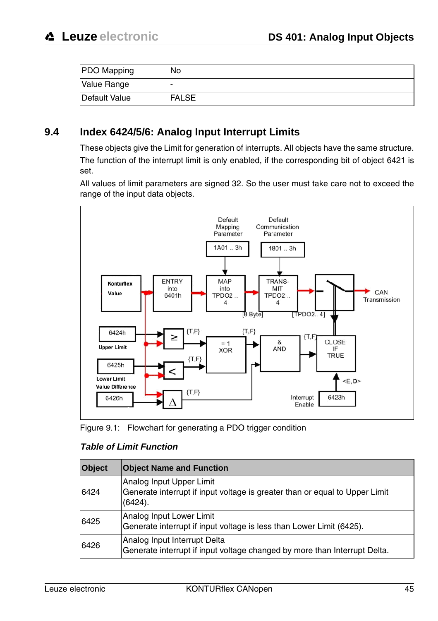| <b>PDO</b> Mapping | 'No          |
|--------------------|--------------|
| Value Range        |              |
| Default Value      | <b>FALSE</b> |

#### <span id="page-46-0"></span>**9.4 Index 6424/5/6: Analog Input Interrupt Limits**

These objects give the Limit for generation of interrupts. All objects have the same structure. The function of the interrupt limit is only enabled, if the corresponding bit of object 6421 is set.

All values of limit parameters are signed 32. So the user must take care not to exceed the range of the input data objects.



<span id="page-46-1"></span>

#### **Table of Limit Function**

| <b>Object</b> | <b>Object Name and Function</b>                                                                                       |
|---------------|-----------------------------------------------------------------------------------------------------------------------|
| 6424          | Analog Input Upper Limit<br>Generate interrupt if input voltage is greater than or equal to Upper Limit<br>$(6424)$ . |
| 6425          | Analog Input Lower Limit<br>Generate interrupt if input voltage is less than Lower Limit (6425).                      |
| 6426          | Analog Input Interrupt Delta<br>Generate interrupt if input voltage changed by more than Interrupt Delta.             |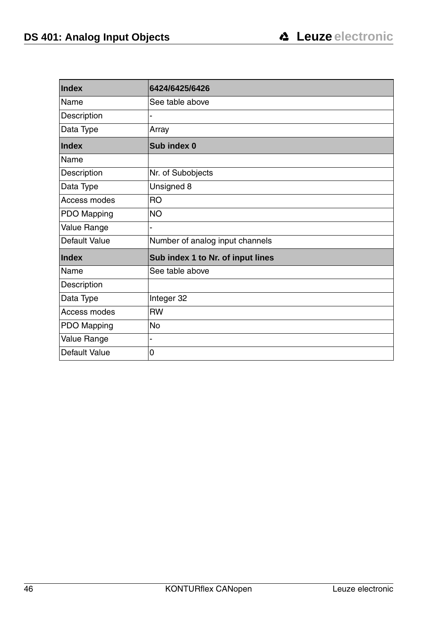| Index         | 6424/6425/6426                    |
|---------------|-----------------------------------|
| Name          | See table above                   |
| Description   |                                   |
| Data Type     | Array                             |
| Index         | Sub index 0                       |
| Name          |                                   |
| Description   | Nr. of Subobjects                 |
| Data Type     | Unsigned 8                        |
| Access modes  | <b>RO</b>                         |
| PDO Mapping   | <b>NO</b>                         |
| Value Range   |                                   |
| Default Value | Number of analog input channels   |
| Index         | Sub index 1 to Nr. of input lines |
| Name          | See table above                   |
| Description   |                                   |
| Data Type     | Integer 32                        |
| Access modes  | <b>RW</b>                         |
| PDO Mapping   | <b>No</b>                         |
| Value Range   | $\overline{a}$                    |
| Default Value | 0                                 |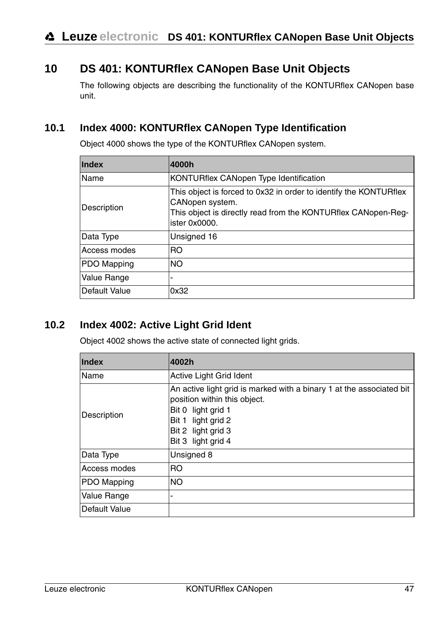# <span id="page-48-0"></span>**10 DS 401: KONTURflex CANopen Base Unit Objects**

The following objects are describing the functionality of the KONTURflex CANopen base unit.

# <span id="page-48-1"></span>**10.1 Index 4000: KONTURflex CANopen Type Identification**

Object 4000 shows the type of the KONTURflex CANopen system.

| Index         | 4000h                                                                                                                                                                  |
|---------------|------------------------------------------------------------------------------------------------------------------------------------------------------------------------|
| Name          | KONTURflex CANopen Type Identification                                                                                                                                 |
| Description   | This object is forced to 0x32 in order to identify the KONTURflex<br>CANopen system.<br>This object is directly read from the KONTURflex CANopen-Reg-<br>ister 0x0000. |
| Data Type     | Unsigned 16                                                                                                                                                            |
| Access modes  | <b>RO</b>                                                                                                                                                              |
| PDO Mapping   | <b>NO</b>                                                                                                                                                              |
| Value Range   | -                                                                                                                                                                      |
| Default Value | 0x32                                                                                                                                                                   |

# <span id="page-48-2"></span>**10.2 Index 4002: Active Light Grid Ident**

Object 4002 shows the active state of connected light grids.

| <b>Index</b>  | 4002h                                                                                                                                                                                        |
|---------------|----------------------------------------------------------------------------------------------------------------------------------------------------------------------------------------------|
| Name          | Active Light Grid Ident                                                                                                                                                                      |
| Description   | An active light grid is marked with a binary 1 at the associated bit<br>position within this object.<br>Bit 0 light grid 1<br>Bit 1 light grid 2<br>Bit 2 light grid 3<br>Bit 3 light grid 4 |
| Data Type     | Unsigned 8                                                                                                                                                                                   |
| Access modes  | R <sub>O</sub>                                                                                                                                                                               |
| PDO Mapping   | <b>NO</b>                                                                                                                                                                                    |
| Value Range   | ۰                                                                                                                                                                                            |
| Default Value |                                                                                                                                                                                              |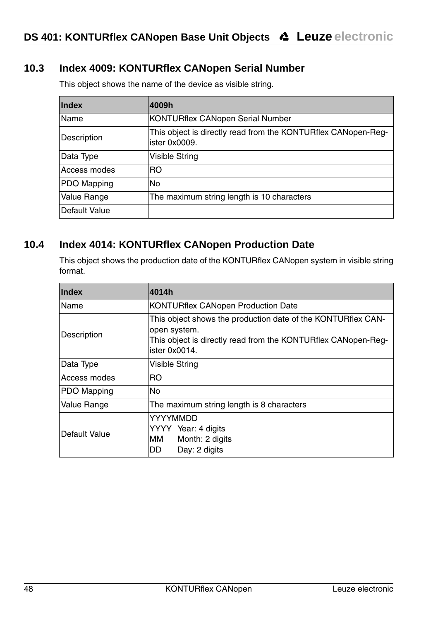# <span id="page-49-0"></span>**10.3 Index 4009: KONTURflex CANopen Serial Number**

| <b>Index</b>  | 4009h                                                                           |
|---------------|---------------------------------------------------------------------------------|
| Name          | <b>KONTURflex CANopen Serial Number</b>                                         |
| Description   | This object is directly read from the KONTURflex CANopen-Req-<br>lister 0x0009. |
| Data Type     | <b>Visible String</b>                                                           |
| Access modes  | <b>RO</b>                                                                       |
| PDO Mapping   | No                                                                              |
| Value Range   | The maximum string length is 10 characters                                      |
| Default Value |                                                                                 |

This object shows the name of the device as visible string.

#### <span id="page-49-1"></span>**10.4 Index 4014: KONTURflex CANopen Production Date**

This object shows the production date of the KONTURflex CANopen system in visible string format.

| <b>Index</b>       | 4014h                                                                                                                                                          |
|--------------------|----------------------------------------------------------------------------------------------------------------------------------------------------------------|
| Name               | <b>KONTURflex CANopen Production Date</b>                                                                                                                      |
| Description        | This object shows the production date of the KONTURflex CAN-<br>open system.<br>This object is directly read from the KONTURflex CANopen-Req-<br>ister 0x0014. |
| Data Type          | Visible String                                                                                                                                                 |
| Access modes       | RO.                                                                                                                                                            |
| <b>PDO Mapping</b> | <b>No</b>                                                                                                                                                      |
| Value Range        | The maximum string length is 8 characters                                                                                                                      |
| Default Value      | YYYYMMDD<br>YYYY Year: 4 digits<br>мм<br>Month: 2 digits<br>Day: 2 digits<br>DD.                                                                               |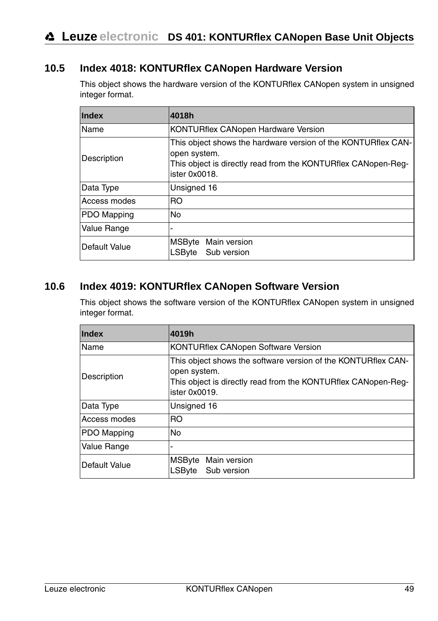# <span id="page-50-0"></span>**10.5 Index 4018: KONTURflex CANopen Hardware Version**

This object shows the hardware version of the KONTURflex CANopen system in unsigned integer format.

| <b>Index</b>         | 4018h                                                                                                                                                           |
|----------------------|-----------------------------------------------------------------------------------------------------------------------------------------------------------------|
| Name                 | <b>KONTURflex CANopen Hardware Version</b>                                                                                                                      |
| Description          | This object shows the hardware version of the KONTURflex CAN-<br>open system.<br>This object is directly read from the KONTURflex CANopen-Req-<br>ister 0x0018. |
| Data Type            | Unsigned 16                                                                                                                                                     |
| Access modes         | <b>RO</b>                                                                                                                                                       |
| <b>PDO Mapping</b>   | No                                                                                                                                                              |
| Value Range          | -                                                                                                                                                               |
| <b>Default Value</b> | MSByte Main version<br>Sub version<br>LSByte                                                                                                                    |

#### <span id="page-50-1"></span>**10.6 Index 4019: KONTURflex CANopen Software Version**

This object shows the software version of the KONTURflex CANopen system in unsigned integer format.

| Index         | 4019h                                                                                                                                                           |
|---------------|-----------------------------------------------------------------------------------------------------------------------------------------------------------------|
| Name          | KONTURflex CANopen Software Version                                                                                                                             |
| Description   | This object shows the software version of the KONTURflex CAN-<br>open system.<br>This object is directly read from the KONTURflex CANopen-Req-<br>ister 0x0019. |
| Data Type     | Unsigned 16                                                                                                                                                     |
| Access modes  | <b>RO</b>                                                                                                                                                       |
| PDO Mapping   | No                                                                                                                                                              |
| Value Range   |                                                                                                                                                                 |
| Default Value | MSByte Main version<br>Sub version<br>LSByte                                                                                                                    |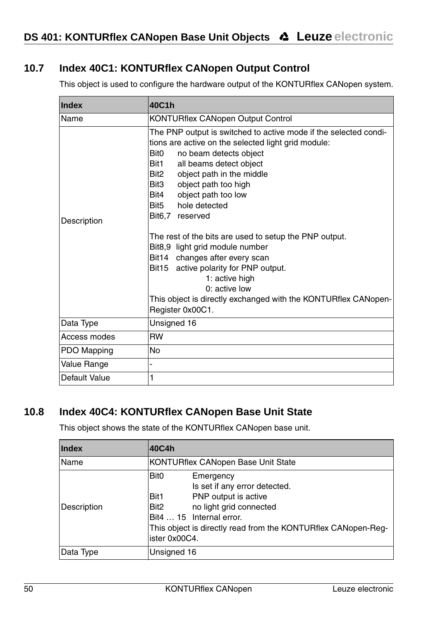# <span id="page-51-0"></span>**10.7 Index 40C1: KONTURflex CANopen Output Control**

This object is used to configure the hardware output of the KONTURflex CANopen system.

| Index         | 40C1h                                                                                                                                                                                                                                                                                                                                                                                                                                                                                                                                                                                                                                         |
|---------------|-----------------------------------------------------------------------------------------------------------------------------------------------------------------------------------------------------------------------------------------------------------------------------------------------------------------------------------------------------------------------------------------------------------------------------------------------------------------------------------------------------------------------------------------------------------------------------------------------------------------------------------------------|
| Name          | <b>KONTURflex CANopen Output Control</b>                                                                                                                                                                                                                                                                                                                                                                                                                                                                                                                                                                                                      |
| Description   | The PNP output is switched to active mode if the selected condi-<br>tions are active on the selected light grid module:<br>Bit0<br>no beam detects object<br>Bit1<br>all beams detect object<br>Bit2<br>object path in the middle<br>object path too high<br>Bit3<br>object path too low<br>Bit4<br>hole detected<br>Bit5<br>Bit6,7 reserved<br>The rest of the bits are used to setup the PNP output.<br>Bit8,9 light grid module number<br>Bit14 changes after every scan<br>Bit15 active polarity for PNP output.<br>1: active high<br>0: active low<br>This object is directly exchanged with the KONTURflex CANopen-<br>Register 0x00C1. |
| Data Type     | Unsigned 16                                                                                                                                                                                                                                                                                                                                                                                                                                                                                                                                                                                                                                   |
| Access modes  | <b>RW</b>                                                                                                                                                                                                                                                                                                                                                                                                                                                                                                                                                                                                                                     |
| PDO Mapping   | <b>No</b>                                                                                                                                                                                                                                                                                                                                                                                                                                                                                                                                                                                                                                     |
| Value Range   | Ĭ.                                                                                                                                                                                                                                                                                                                                                                                                                                                                                                                                                                                                                                            |
| Default Value | 1                                                                                                                                                                                                                                                                                                                                                                                                                                                                                                                                                                                                                                             |

#### <span id="page-51-1"></span>**10.8 Index 40C4: KONTURflex CANopen Base Unit State**

This object shows the state of the KONTURflex CANopen base unit.

| <b>Index</b> | 40C4h                                                                                                                                                                                                                                                       |
|--------------|-------------------------------------------------------------------------------------------------------------------------------------------------------------------------------------------------------------------------------------------------------------|
| Name         | KONTURflex CANopen Base Unit State                                                                                                                                                                                                                          |
| Description  | Bit <sub>0</sub><br>Emergency<br>Is set if any error detected.<br>PNP output is active<br>Bit1<br>no light grid connected<br>Bit <sub>2</sub><br>Bit4  15 Internal error.<br>This object is directly read from the KONTURflex CANopen-Req-<br>ister 0x00C4. |
| Data Type    | Unsigned 16                                                                                                                                                                                                                                                 |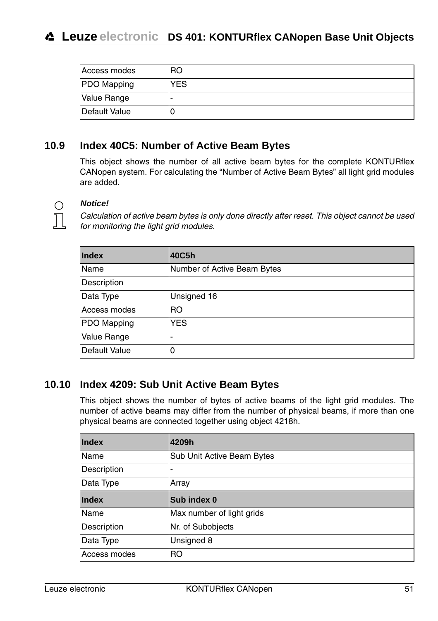| Access modes  | RO         |
|---------------|------------|
| PDO Mapping   | <b>YES</b> |
| Value Range   | -          |
| Default Value |            |

#### <span id="page-52-0"></span>**10.9 Index 40C5: Number of Active Beam Bytes**

This object shows the number of all active beam bytes for the complete KONTURflex CANopen system. For calculating the "Number of Active Beam Bytes" all light grid modules are added.



#### **Notice!**

Calculation of active beam bytes is only done directly after reset. This object cannot be used for monitoring the light grid modules.

| Index         | 40C5h                       |
|---------------|-----------------------------|
| Name          | Number of Active Beam Bytes |
| Description   |                             |
| Data Type     | Unsigned 16                 |
| Access modes  | R <sub>O</sub>              |
| PDO Mapping   | <b>YES</b>                  |
| Value Range   | ٠                           |
| Default Value | 0                           |

#### <span id="page-52-1"></span>**10.10 Index 4209: Sub Unit Active Beam Bytes**

This object shows the number of bytes of active beams of the light grid modules. The number of active beams may differ from the number of physical beams, if more than one physical beams are connected together using object 4218h.

| Index        | 4209h                      |
|--------------|----------------------------|
| Name         | Sub Unit Active Beam Bytes |
| Description  | ٠                          |
| Data Type    | Array                      |
| Index        | Sub index 0                |
| Name         | Max number of light grids  |
| Description  | Nr. of Subobjects          |
| Data Type    | Unsigned 8                 |
| Access modes | R <sub>O</sub>             |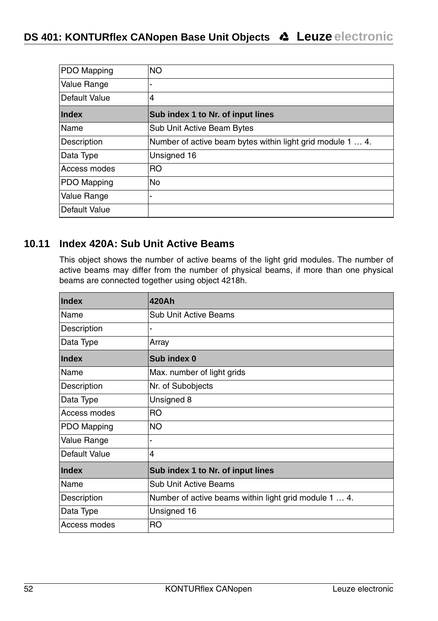| PDO Mapping   | <b>NO</b>                                                  |
|---------------|------------------------------------------------------------|
| Value Range   | ۰                                                          |
| Default Value | $\overline{4}$                                             |
| Index         | Sub index 1 to Nr. of input lines                          |
| Name          | Sub Unit Active Beam Bytes                                 |
| Description   | Number of active beam bytes within light grid module 1  4. |
| Data Type     | Unsigned 16                                                |
| Access modes  | <b>RO</b>                                                  |
| PDO Mapping   | <b>No</b>                                                  |
| Value Range   | ۰                                                          |
| Default Value |                                                            |

#### <span id="page-53-0"></span>**10.11 Index 420A: Sub Unit Active Beams**

This object shows the number of active beams of the light grid modules. The number of active beams may differ from the number of physical beams, if more than one physical beams are connected together using object 4218h.

| Index         | 420Ah                                                 |
|---------------|-------------------------------------------------------|
| Name          | <b>Sub Unit Active Beams</b>                          |
| Description   | -                                                     |
| Data Type     | Array                                                 |
| <b>Index</b>  | Sub index 0                                           |
| Name          | Max. number of light grids                            |
| Description   | Nr. of Subobjects                                     |
| Data Type     | Unsigned 8                                            |
| Access modes  | <b>RO</b>                                             |
| PDO Mapping   | <b>NO</b>                                             |
| Value Range   | ۰                                                     |
| Default Value | 4                                                     |
| <b>Index</b>  | Sub index 1 to Nr. of input lines                     |
| Name          | Sub Unit Active Beams                                 |
| Description   | Number of active beams within light grid module 1  4. |
| Data Type     | Unsigned 16                                           |
| Access modes  | R <sub>O</sub>                                        |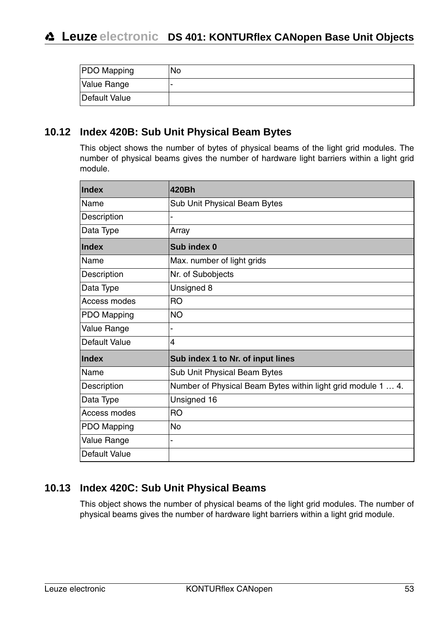| <b>PDO</b> Mapping | No |
|--------------------|----|
| Value Range        | ۰  |
| Default Value      |    |

#### <span id="page-54-0"></span>**10.12 Index 420B: Sub Unit Physical Beam Bytes**

This object shows the number of bytes of physical beams of the light grid modules. The number of physical beams gives the number of hardware light barriers within a light grid module.

| Index         | 420Bh                                                        |
|---------------|--------------------------------------------------------------|
| Name          | Sub Unit Physical Beam Bytes                                 |
| Description   |                                                              |
| Data Type     | Array                                                        |
| Index         | Sub index 0                                                  |
| Name          | Max. number of light grids                                   |
| Description   | Nr. of Subobjects                                            |
| Data Type     | Unsigned 8                                                   |
| Access modes  | <b>RO</b>                                                    |
| PDO Mapping   | <b>NO</b>                                                    |
| Value Range   |                                                              |
| Default Value | 4                                                            |
| Index         | Sub index 1 to Nr. of input lines                            |
| Name          | Sub Unit Physical Beam Bytes                                 |
| Description   | Number of Physical Beam Bytes within light grid module 1  4. |
| Data Type     | Unsigned 16                                                  |
| Access modes  | <b>RO</b>                                                    |
| PDO Mapping   | No                                                           |
| Value Range   |                                                              |
| Default Value |                                                              |

#### <span id="page-54-1"></span>**10.13 Index 420C: Sub Unit Physical Beams**

This object shows the number of physical beams of the light grid modules. The number of physical beams gives the number of hardware light barriers within a light grid module.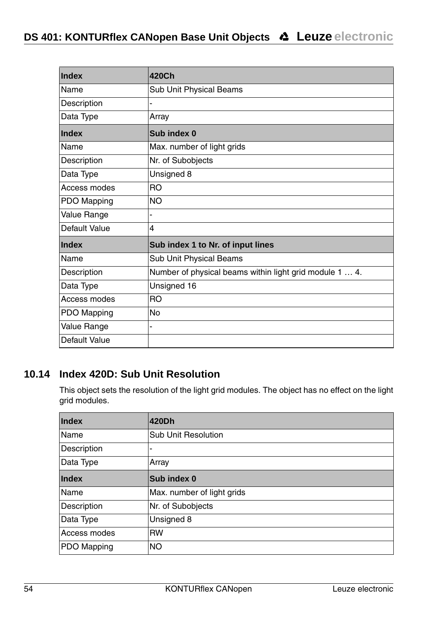| Index         | 420Ch                                                   |
|---------------|---------------------------------------------------------|
| Name          | Sub Unit Physical Beams                                 |
| Description   |                                                         |
| Data Type     | Array                                                   |
| Index         | Sub index 0                                             |
| Name          | Max. number of light grids                              |
| Description   | Nr. of Subobjects                                       |
| Data Type     | Unsigned 8                                              |
| Access modes  | R <sub>O</sub>                                          |
| PDO Mapping   | <b>NO</b>                                               |
| Value Range   |                                                         |
| Default Value | 4                                                       |
| Index         | Sub index 1 to Nr. of input lines                       |
| Name          | Sub Unit Physical Beams                                 |
| Description   | Number of physical beams within light grid module 1  4. |
| Data Type     | Unsigned 16                                             |
| Access modes  | R <sub>O</sub>                                          |
| PDO Mapping   | No                                                      |
| Value Range   | -                                                       |
| Default Value |                                                         |

# <span id="page-55-0"></span>**10.14 Index 420D: Sub Unit Resolution**

This object sets the resolution of the light grid modules. The object has no effect on the light grid modules.

| Index        | 420Dh                      |
|--------------|----------------------------|
| Name         | <b>Sub Unit Resolution</b> |
| Description  | ٠                          |
| Data Type    | Array                      |
| <b>Index</b> | Sub index 0                |
| Name         | Max. number of light grids |
| Description  | Nr. of Subobjects          |
| Data Type    | Unsigned 8                 |
| Access modes | <b>RW</b>                  |
| PDO Mapping  | <b>NO</b>                  |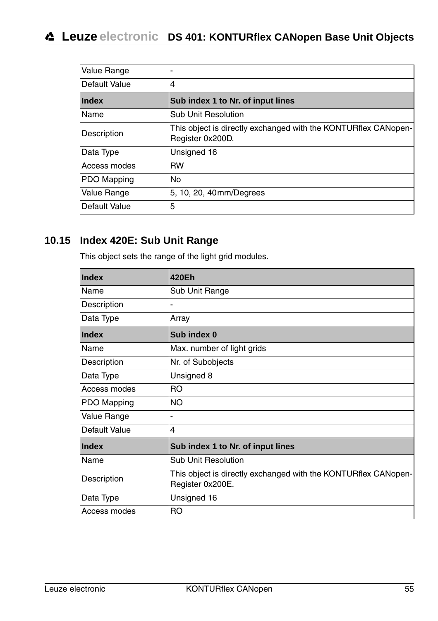# **Leuze electronic DS 401: KONTURflex CANopen Base Unit Objects**

| Value Range          | ۰                                                                                  |
|----------------------|------------------------------------------------------------------------------------|
| Default Value        | 4                                                                                  |
| Index                | Sub index 1 to Nr. of input lines                                                  |
| Name                 | Sub Unit Resolution                                                                |
| Description          | This object is directly exchanged with the KONTURflex CANopen-<br>Register 0x200D. |
| Data Type            | Unsigned 16                                                                        |
| Access modes         | <b>RW</b>                                                                          |
| <b>PDO Mapping</b>   | <b>No</b>                                                                          |
| Value Range          | 5, 10, 20, 40mm/Degrees                                                            |
| <b>Default Value</b> | 5                                                                                  |

# <span id="page-56-0"></span>**10.15 Index 420E: Sub Unit Range**

This object sets the range of the light grid modules.

| Index         | 420Eh                                                                              |
|---------------|------------------------------------------------------------------------------------|
| Name          | Sub Unit Range                                                                     |
| Description   |                                                                                    |
| Data Type     | Array                                                                              |
| Index         | Sub index 0                                                                        |
| Name          | Max. number of light grids                                                         |
| Description   | Nr. of Subobjects                                                                  |
| Data Type     | Unsigned 8                                                                         |
| Access modes  | RO.                                                                                |
| PDO Mapping   | NO.                                                                                |
| Value Range   |                                                                                    |
| Default Value | 4                                                                                  |
| <b>Index</b>  | Sub index 1 to Nr. of input lines                                                  |
| Name          | <b>Sub Unit Resolution</b>                                                         |
| Description   | This object is directly exchanged with the KONTURflex CANopen-<br>Register 0x200E. |
| Data Type     | Unsigned 16                                                                        |
| Access modes  | RO                                                                                 |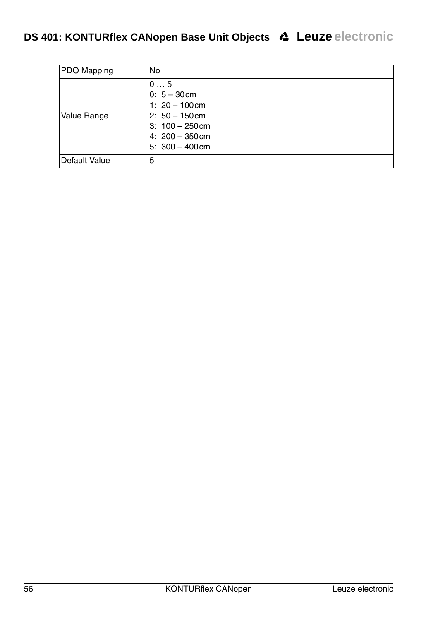| PDO Mapping   | <b>No</b>                                                                                                                  |
|---------------|----------------------------------------------------------------------------------------------------------------------------|
| Value Range   | 05<br>$0: 5 - 30$ cm<br>1: $20 - 100$ cm<br>$2: 50 - 150$ cm<br>$3:100 - 250$ cm<br>$4: 200 - 350$ cm<br>$5: 300 - 400$ cm |
| Default Value | 5                                                                                                                          |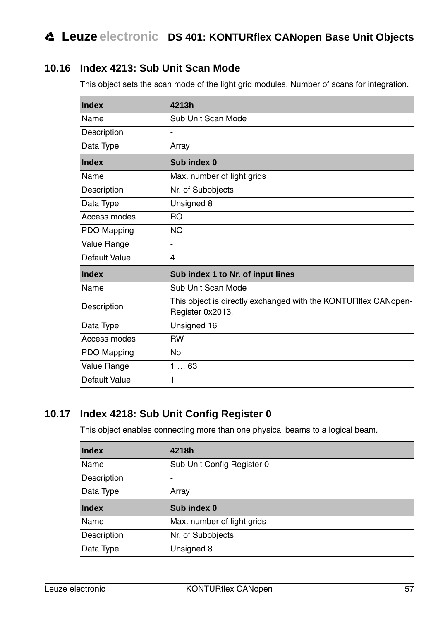## <span id="page-58-0"></span>**10.16 Index 4213: Sub Unit Scan Mode**

This object sets the scan mode of the light grid modules. Number of scans for integration.

| Index         | 4213h                                                                              |
|---------------|------------------------------------------------------------------------------------|
| Name          | Sub Unit Scan Mode                                                                 |
| Description   |                                                                                    |
| Data Type     | Array                                                                              |
| Index         | Sub index 0                                                                        |
| Name          | Max. number of light grids                                                         |
| Description   | Nr. of Subobjects                                                                  |
| Data Type     | Unsigned 8                                                                         |
| Access modes  | <b>RO</b>                                                                          |
| PDO Mapping   | <b>NO</b>                                                                          |
| Value Range   |                                                                                    |
| Default Value | 4                                                                                  |
| Index         | Sub index 1 to Nr. of input lines                                                  |
| Name          | Sub Unit Scan Mode                                                                 |
| Description   | This object is directly exchanged with the KONTURflex CANopen-<br>Register 0x2013. |
| Data Type     | Unsigned 16                                                                        |
| Access modes  | <b>RW</b>                                                                          |
| PDO Mapping   | No                                                                                 |
| Value Range   | 163                                                                                |
| Default Value | 1                                                                                  |

# <span id="page-58-1"></span>**10.17 Index 4218: Sub Unit Config Register 0**

This object enables connecting more than one physical beams to a logical beam.

| Index       | 4218h                      |
|-------------|----------------------------|
| Name        | Sub Unit Config Register 0 |
| Description | ۰                          |
| Data Type   | Array                      |
| Index       | Sub index 0                |
|             |                            |
| Name        | Max. number of light grids |
| Description | Nr. of Subobjects          |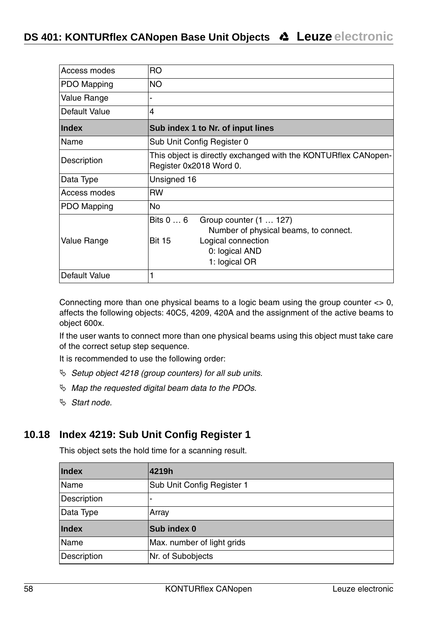| Access modes  | R <sub>O</sub>                                                                            |  |  |  |  |
|---------------|-------------------------------------------------------------------------------------------|--|--|--|--|
| PDO Mapping   | <b>NO</b>                                                                                 |  |  |  |  |
| Value Range   | -                                                                                         |  |  |  |  |
| Default Value | $\overline{4}$                                                                            |  |  |  |  |
| Index         | Sub index 1 to Nr. of input lines                                                         |  |  |  |  |
| Name          | Sub Unit Config Register 0                                                                |  |  |  |  |
| Description   | This object is directly exchanged with the KONTURflex CANopen-<br>Register 0x2018 Word 0. |  |  |  |  |
| Data Type     | Unsigned 16                                                                               |  |  |  |  |
| Access modes  | <b>RW</b>                                                                                 |  |  |  |  |
| PDO Mapping   | No                                                                                        |  |  |  |  |
|               | Bits 0  6<br>Group counter (1  127)<br>Number of physical beams, to connect.              |  |  |  |  |
| Value Range   | <b>Bit 15</b><br>Logical connection<br>0: logical AND<br>1: logical OR                    |  |  |  |  |
| Default Value | 1                                                                                         |  |  |  |  |

Connecting more than one physical beams to a logic beam using the group counter  $\langle 0, 0 \rangle$ affects the following objects: 40C5, 4209, 420A and the assignment of the active beams to object 600x.

If the user wants to connect more than one physical beams using this object must take care of the correct setup step sequence.

It is recommended to use the following order:

- $\%$  Setup object 4218 (group counters) for all sub units.
- $\%$  Map the requested digital beam data to the PDOs.
- $\%$  Start node.

#### <span id="page-59-0"></span>**10.18 Index 4219: Sub Unit Config Register 1**

This object sets the hold time for a scanning result.

| Index       | 4219h                      |  |  |  |
|-------------|----------------------------|--|--|--|
| Name        | Sub Unit Config Register 1 |  |  |  |
| Description |                            |  |  |  |
| Data Type   | Array                      |  |  |  |
| Index       | Sub index 0                |  |  |  |
| Name        | Max. number of light grids |  |  |  |
| Description | Nr. of Subobjects          |  |  |  |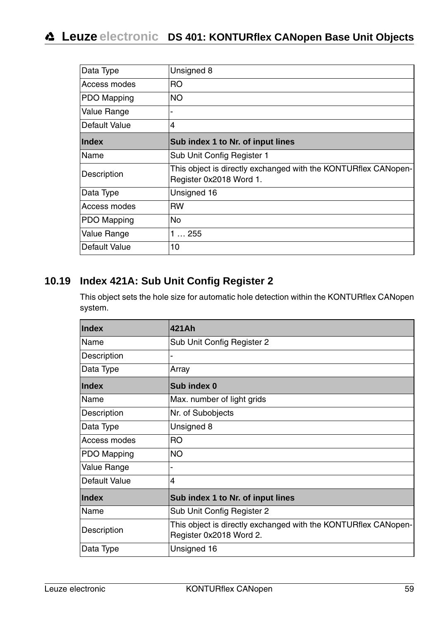# **Leuze electronic DS 401: KONTURflex CANopen Base Unit Objects**

| Data Type            | Unsigned 8                                                                                |  |  |  |
|----------------------|-------------------------------------------------------------------------------------------|--|--|--|
| Access modes         | <b>RO</b>                                                                                 |  |  |  |
| PDO Mapping          | NO.                                                                                       |  |  |  |
| Value Range          | -                                                                                         |  |  |  |
| <b>Default Value</b> | 4                                                                                         |  |  |  |
| Index                | Sub index 1 to Nr. of input lines                                                         |  |  |  |
| Name                 | Sub Unit Config Register 1                                                                |  |  |  |
| Description          | This object is directly exchanged with the KONTURflex CANopen-<br>Register 0x2018 Word 1. |  |  |  |
| Data Type            | Unsigned 16                                                                               |  |  |  |
| Access modes         | <b>RW</b>                                                                                 |  |  |  |
| PDO Mapping          | No.                                                                                       |  |  |  |
| Value Range          | 1255                                                                                      |  |  |  |
| Default Value        | 10                                                                                        |  |  |  |

## <span id="page-60-0"></span>**10.19 Index 421A: Sub Unit Config Register 2**

This object sets the hole size for automatic hole detection within the KONTURflex CANopen system.

| Index         | 421Ah                                                                                     |  |  |  |  |
|---------------|-------------------------------------------------------------------------------------------|--|--|--|--|
| Name          | Sub Unit Config Register 2                                                                |  |  |  |  |
| Description   |                                                                                           |  |  |  |  |
| Data Type     | Array                                                                                     |  |  |  |  |
| Index         | Sub index 0                                                                               |  |  |  |  |
| Name          | Max. number of light grids                                                                |  |  |  |  |
| Description   | Nr. of Subobjects                                                                         |  |  |  |  |
| Data Type     | Unsigned 8                                                                                |  |  |  |  |
| Access modes  | R <sub>O</sub>                                                                            |  |  |  |  |
| PDO Mapping   | <b>NO</b>                                                                                 |  |  |  |  |
| Value Range   |                                                                                           |  |  |  |  |
| Default Value | 4                                                                                         |  |  |  |  |
| Index         | Sub index 1 to Nr. of input lines                                                         |  |  |  |  |
| Name          | Sub Unit Config Register 2                                                                |  |  |  |  |
| Description   | This object is directly exchanged with the KONTURflex CANopen-<br>Register 0x2018 Word 2. |  |  |  |  |
| Data Type     | Unsigned 16                                                                               |  |  |  |  |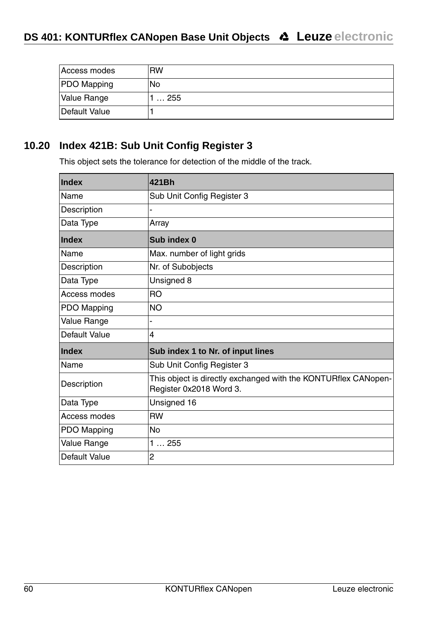| Access modes       | <b>RW</b>   |
|--------------------|-------------|
| <b>PDO</b> Mapping | No          |
| Value Range        | $\dots$ 255 |
| Default Value      |             |

# <span id="page-61-0"></span>**10.20 Index 421B: Sub Unit Config Register 3**

This object sets the tolerance for detection of the middle of the track.

| Index         | 421Bh                                                                                     |  |  |  |  |
|---------------|-------------------------------------------------------------------------------------------|--|--|--|--|
| Name          | Sub Unit Config Register 3                                                                |  |  |  |  |
| Description   | ÷                                                                                         |  |  |  |  |
| Data Type     | Array                                                                                     |  |  |  |  |
| Index         | Sub index 0                                                                               |  |  |  |  |
| Name          | Max. number of light grids                                                                |  |  |  |  |
| Description   | Nr. of Subobjects                                                                         |  |  |  |  |
| Data Type     | Unsigned 8                                                                                |  |  |  |  |
| Access modes  | <b>RO</b>                                                                                 |  |  |  |  |
| PDO Mapping   | <b>NO</b>                                                                                 |  |  |  |  |
| Value Range   |                                                                                           |  |  |  |  |
| Default Value | 4                                                                                         |  |  |  |  |
| Index         | Sub index 1 to Nr. of input lines                                                         |  |  |  |  |
| Name          | Sub Unit Config Register 3                                                                |  |  |  |  |
| Description   | This object is directly exchanged with the KONTURflex CANopen-<br>Register 0x2018 Word 3. |  |  |  |  |
| Data Type     | Unsigned 16                                                                               |  |  |  |  |
| Access modes  | <b>RW</b>                                                                                 |  |  |  |  |
| PDO Mapping   | <b>No</b>                                                                                 |  |  |  |  |
| Value Range   | 1255                                                                                      |  |  |  |  |
| Default Value | $\overline{2}$                                                                            |  |  |  |  |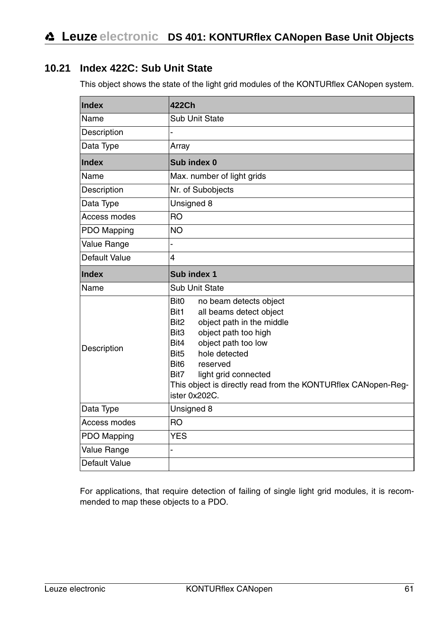# <span id="page-62-0"></span>**10.21 Index 422C: Sub Unit State**

This object shows the state of the light grid modules of the KONTURflex CANopen system.

| Index         | 422Ch                                                                                                                                                                                                                                                                                                                                                                           |  |  |  |  |
|---------------|---------------------------------------------------------------------------------------------------------------------------------------------------------------------------------------------------------------------------------------------------------------------------------------------------------------------------------------------------------------------------------|--|--|--|--|
| Name          | Sub Unit State                                                                                                                                                                                                                                                                                                                                                                  |  |  |  |  |
| Description   |                                                                                                                                                                                                                                                                                                                                                                                 |  |  |  |  |
| Data Type     | Array                                                                                                                                                                                                                                                                                                                                                                           |  |  |  |  |
| Index         | Sub index 0                                                                                                                                                                                                                                                                                                                                                                     |  |  |  |  |
| Name          | Max. number of light grids                                                                                                                                                                                                                                                                                                                                                      |  |  |  |  |
| Description   | Nr. of Subobjects                                                                                                                                                                                                                                                                                                                                                               |  |  |  |  |
| Data Type     | Unsigned 8                                                                                                                                                                                                                                                                                                                                                                      |  |  |  |  |
| Access modes  | <b>RO</b>                                                                                                                                                                                                                                                                                                                                                                       |  |  |  |  |
| PDO Mapping   | NO.                                                                                                                                                                                                                                                                                                                                                                             |  |  |  |  |
| Value Range   |                                                                                                                                                                                                                                                                                                                                                                                 |  |  |  |  |
| Default Value | 4                                                                                                                                                                                                                                                                                                                                                                               |  |  |  |  |
| Index         | Sub index 1                                                                                                                                                                                                                                                                                                                                                                     |  |  |  |  |
| Name          | Sub Unit State                                                                                                                                                                                                                                                                                                                                                                  |  |  |  |  |
| Description   | <b>Bit0</b><br>no beam detects object<br>Bit1<br>all beams detect object<br>Bit <sub>2</sub><br>object path in the middle<br>object path too high<br>Bit3<br>object path too low<br>Bit4<br>hole detected<br>Bit <sub>5</sub><br>Bit <sub>6</sub><br>reserved<br>Bit7<br>light grid connected<br>This object is directly read from the KONTURflex CANopen-Reg-<br>ister 0x202C. |  |  |  |  |
| Data Type     | Unsigned 8                                                                                                                                                                                                                                                                                                                                                                      |  |  |  |  |
| Access modes  | <b>RO</b>                                                                                                                                                                                                                                                                                                                                                                       |  |  |  |  |
| PDO Mapping   | <b>YES</b>                                                                                                                                                                                                                                                                                                                                                                      |  |  |  |  |
| Value Range   |                                                                                                                                                                                                                                                                                                                                                                                 |  |  |  |  |
| Default Value |                                                                                                                                                                                                                                                                                                                                                                                 |  |  |  |  |

For applications, that require detection of failing of single light grid modules, it is recommended to map these objects to a PDO.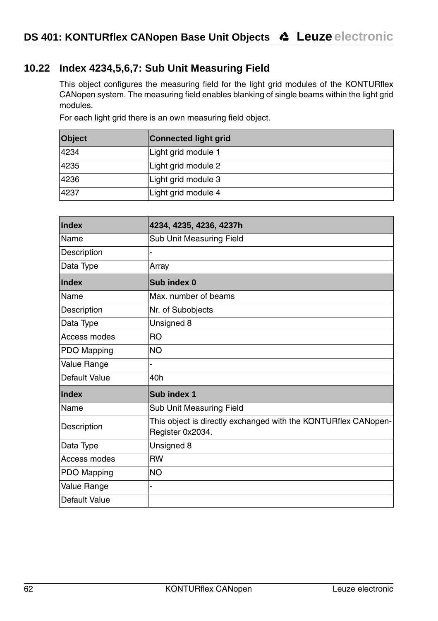# <span id="page-63-0"></span>**10.22 Index 4234,5,6,7: Sub Unit Measuring Field**

This object configures the measuring field for the light grid modules of the KONTURflex CANopen system. The measuring field enables blanking of single beams within the light grid modules.

For each light grid there is an own measuring field object.

| <b>Object</b> | <b>Connected light grid</b> |  |  |  |
|---------------|-----------------------------|--|--|--|
| 4234          | Light grid module 1         |  |  |  |
| 4235          | Light grid module 2         |  |  |  |
| 4236          | Light grid module 3         |  |  |  |
| 4237          | Light grid module 4         |  |  |  |

| Index         | 4234, 4235, 4236, 4237h                                                            |  |  |  |
|---------------|------------------------------------------------------------------------------------|--|--|--|
| Name          | Sub Unit Measuring Field                                                           |  |  |  |
| Description   |                                                                                    |  |  |  |
| Data Type     | Array                                                                              |  |  |  |
| Index         | Sub index 0                                                                        |  |  |  |
| Name          | Max, number of beams                                                               |  |  |  |
| Description   | Nr. of Subobjects                                                                  |  |  |  |
| Data Type     | Unsigned 8                                                                         |  |  |  |
| Access modes  | <b>RO</b>                                                                          |  |  |  |
| PDO Mapping   | NO.                                                                                |  |  |  |
| Value Range   |                                                                                    |  |  |  |
| Default Value | 40h                                                                                |  |  |  |
| Index         | Sub index 1                                                                        |  |  |  |
| Name          | Sub Unit Measuring Field                                                           |  |  |  |
| Description   | This object is directly exchanged with the KONTURflex CANopen-<br>Register 0x2034. |  |  |  |
| Data Type     | Unsigned 8                                                                         |  |  |  |
| Access modes  | <b>RW</b>                                                                          |  |  |  |
| PDO Mapping   | NO.                                                                                |  |  |  |
| Value Range   |                                                                                    |  |  |  |
| Default Value |                                                                                    |  |  |  |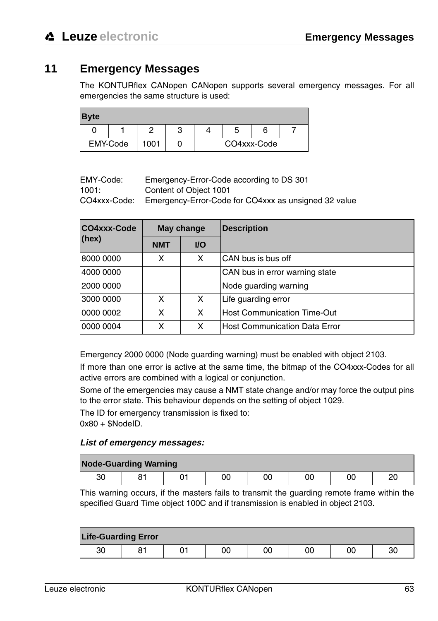# <span id="page-64-0"></span>**11 Emergency Messages**

The KONTURflex CANopen CANopen supports several emergency messages. For all emergencies the same structure is used:

| <b>Byte</b> |  |      |   |             |  |
|-------------|--|------|---|-------------|--|
|             |  |      | ≏ |             |  |
| EMY-Code    |  | 1001 |   | CO4xxx-Code |  |

| EMY-Code: | Emergency-Error-Code according to DS 301 |
|-----------|------------------------------------------|
|           |                                          |

1001: Content of Object 1001

CO4xxx-Code: Emergency-Error-Code for CO4xxx as unsigned 32 value

| CO4xxx-Code | May change |      | <b>Description</b>                 |
|-------------|------------|------|------------------------------------|
| (hex)       | <b>NMT</b> | $UO$ |                                    |
| 8000 0000   | x          | x    | CAN bus is bus off                 |
| 4000 0000   |            |      | CAN bus in error warning state     |
| 2000 0000   |            |      | Node guarding warning              |
| 3000 0000   | x          | x    | Life guarding error                |
| 0000 0002   | x          | x    | <b>Host Communication Time-Out</b> |
| 0000 0004   | x          | x    | Host Communication Data Error      |

Emergency 2000 0000 (Node guarding warning) must be enabled with object 2103.

If more than one error is active at the same time, the bitmap of the CO4xxx-Codes for all active errors are combined with a logical or conjunction.

Some of the emergencies may cause a NMT state change and/or may force the output pins to the error state. This behaviour depends on the setting of object 1029.

The ID for emergency transmission is fixed to:  $0x80 + $NodeID$ .

#### **List of emergency messages:**

| <b>Node-Guarding Warning</b> |     |  |    |    |    |    |          |  |
|------------------------------|-----|--|----|----|----|----|----------|--|
| 30                           | ດ - |  | 00 | 00 | 00 | 00 | חמ<br>∠∪ |  |

This warning occurs, if the masters fails to transmit the guarding remote frame within the specified Guard Time object 100C and if transmission is enabled in object 2103.

| <b>Life-Guarding Error</b> |  |  |    |    |    |    |    |  |  |
|----------------------------|--|--|----|----|----|----|----|--|--|
| 30                         |  |  | 00 | 00 | 00 | 00 | 30 |  |  |